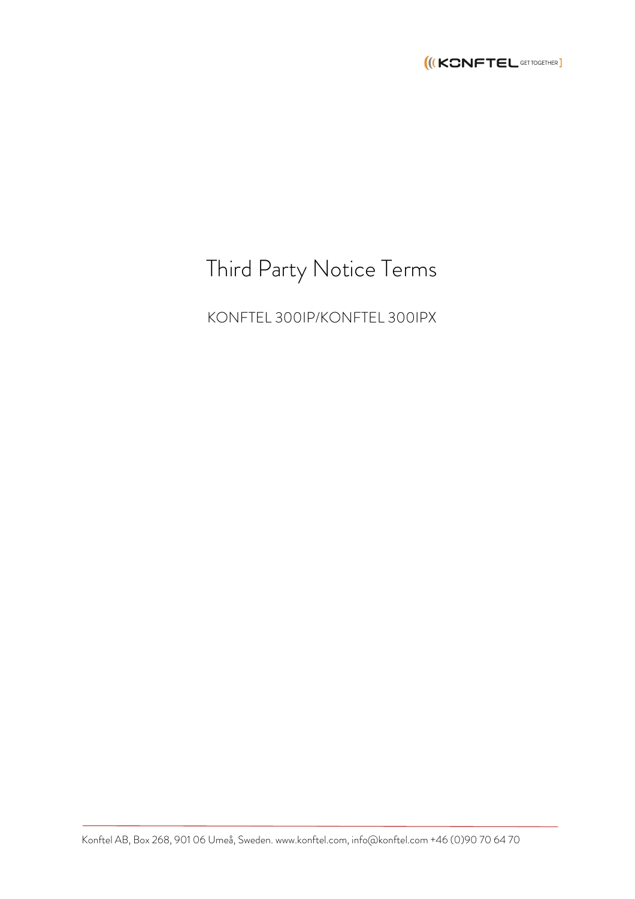

# Third Party Notice Terms

KONFTEL 300IP/KONFTEL 300IPX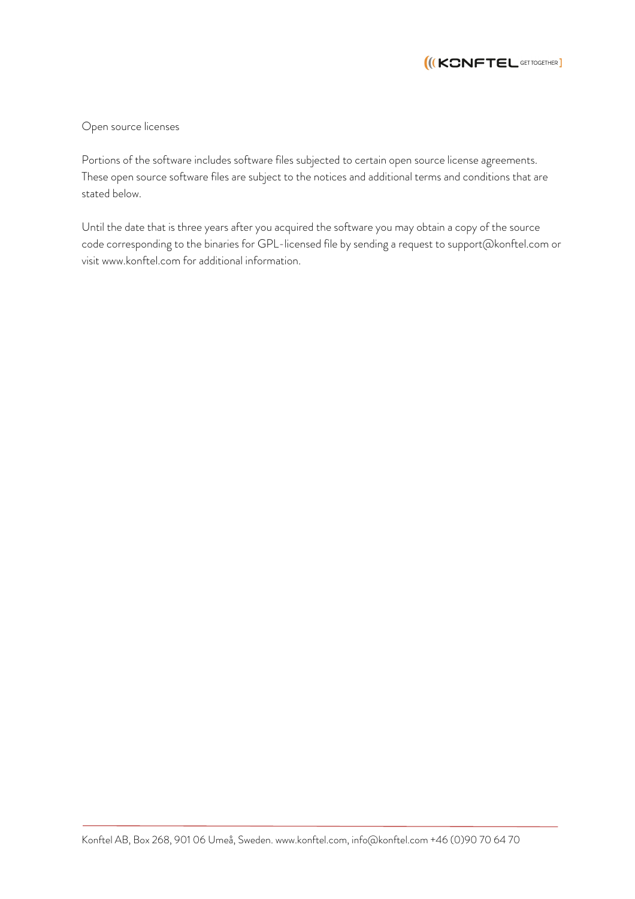

Open source licenses

Portions of the software includes software files subjected to certain open source license agreements. These open source software files are subject to the notices and additional terms and conditions that are stated below.

Until the date that is three years after you acquired the software you may obtain a copy of the source code corresponding to the binaries for GPL-licensed file by sending a request to support@konftel.com or visit www.konftel.com for additional information.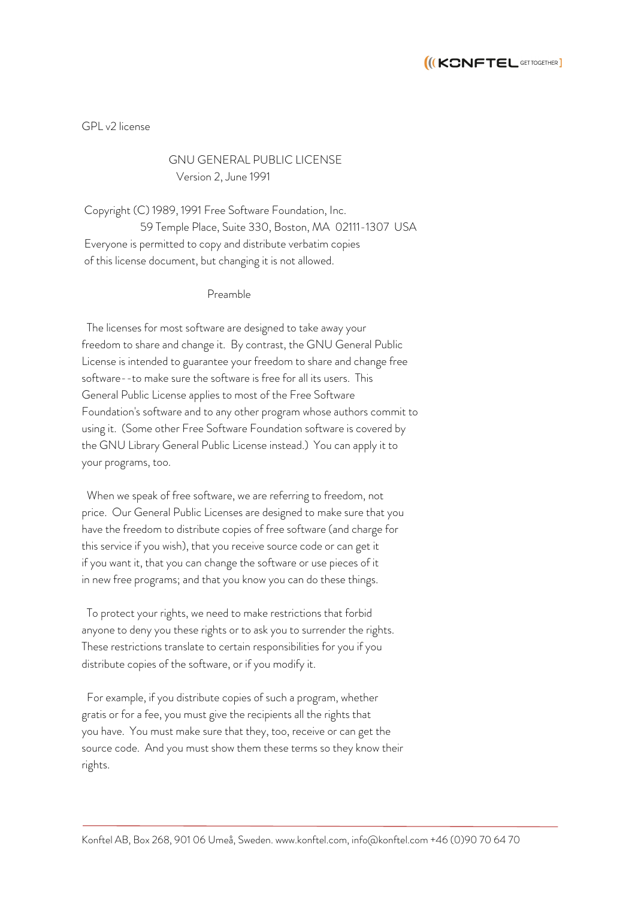

GPL v2 license

# GNU GENERAL PUBLIC LICENSE Version 2, June 1991

Copyright (C) 1989, 1991 Free Software Foundation, Inc. 59 Temple Place, Suite 330, Boston, MA 02111-1307 USA Everyone is permitted to copy and distribute verbatim copies of this license document, but changing it is not allowed.

#### Preamble

 The licenses for most software are designed to take away your freedom to share and change it. By contrast, the GNU General Public License is intended to guarantee your freedom to share and change free software--to make sure the software is free for all its users. This General Public License applies to most of the Free Software Foundation's software and to any other program whose authors commit to using it. (Some other Free Software Foundation software is covered by the GNU Library General Public License instead.) You can apply it to your programs, too.

 When we speak of free software, we are referring to freedom, not price. Our General Public Licenses are designed to make sure that you have the freedom to distribute copies of free software (and charge for this service if you wish), that you receive source code or can get it if you want it, that you can change the software or use pieces of it in new free programs; and that you know you can do these things.

 To protect your rights, we need to make restrictions that forbid anyone to deny you these rights or to ask you to surrender the rights. These restrictions translate to certain responsibilities for you if you distribute copies of the software, or if you modify it.

 For example, if you distribute copies of such a program, whether gratis or for a fee, you must give the recipients all the rights that you have. You must make sure that they, too, receive or can get the source code. And you must show them these terms so they know their rights.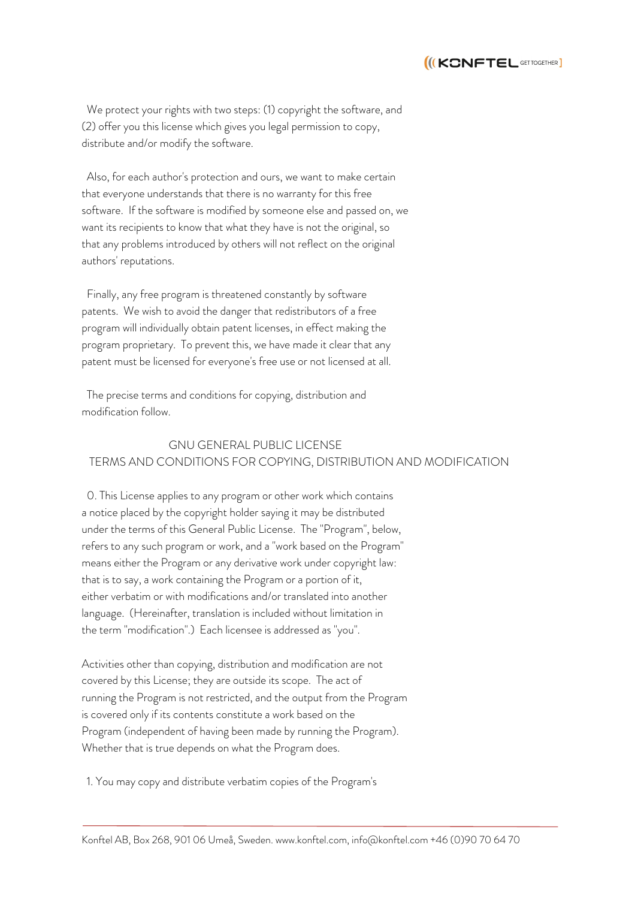

 We protect your rights with two steps: (1) copyright the software, and (2) offer you this license which gives you legal permission to copy, distribute and/or modify the software.

 Also, for each author's protection and ours, we want to make certain that everyone understands that there is no warranty for this free software. If the software is modified by someone else and passed on, we want its recipients to know that what they have is not the original, so that any problems introduced by others will not reflect on the original authors' reputations.

 Finally, any free program is threatened constantly by software patents. We wish to avoid the danger that redistributors of a free program will individually obtain patent licenses, in effect making the program proprietary. To prevent this, we have made it clear that any patent must be licensed for everyone's free use or not licensed at all.

 The precise terms and conditions for copying, distribution and modification follow.

## GNU GENERAL PUBLIC LICENSE TERMS AND CONDITIONS FOR COPYING, DISTRIBUTION AND MODIFICATION

 0. This License applies to any program or other work which contains a notice placed by the copyright holder saying it may be distributed under the terms of this General Public License. The "Program", below, refers to any such program or work, and a "work based on the Program" means either the Program or any derivative work under copyright law: that is to say, a work containing the Program or a portion of it, either verbatim or with modifications and/or translated into another language. (Hereinafter, translation is included without limitation in the term "modification".) Each licensee is addressed as "you".

Activities other than copying, distribution and modification are not covered by this License; they are outside its scope. The act of running the Program is not restricted, and the output from the Program is covered only if its contents constitute a work based on the Program (independent of having been made by running the Program). Whether that is true depends on what the Program does.

1. You may copy and distribute verbatim copies of the Program's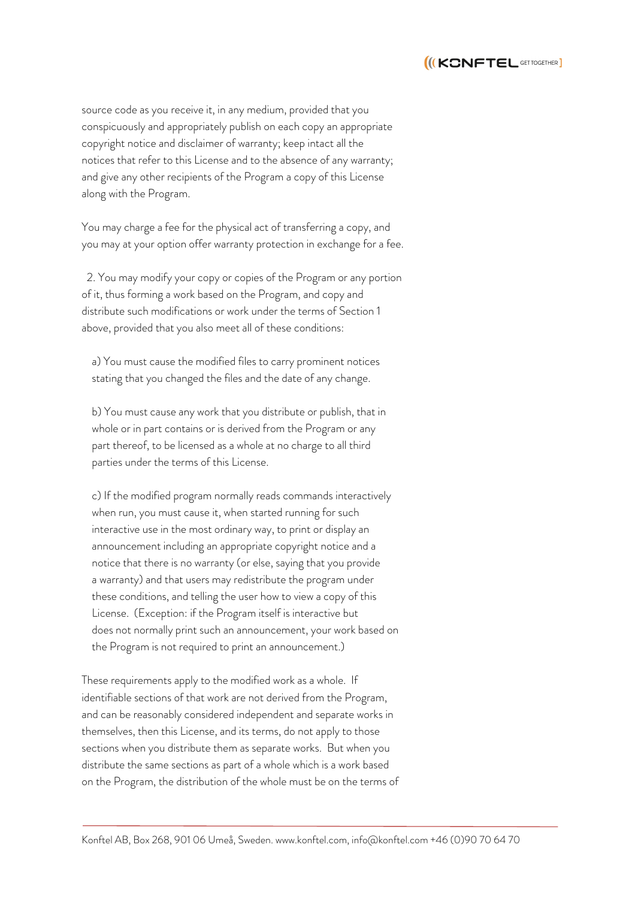

source code as you receive it, in any medium, provided that you conspicuously and appropriately publish on each copy an appropriate copyright notice and disclaimer of warranty; keep intact all the notices that refer to this License and to the absence of any warranty; and give any other recipients of the Program a copy of this License along with the Program.

You may charge a fee for the physical act of transferring a copy, and you may at your option offer warranty protection in exchange for a fee.

 2. You may modify your copy or copies of the Program or any portion of it, thus forming a work based on the Program, and copy and distribute such modifications or work under the terms of Section 1 above, provided that you also meet all of these conditions:

 a) You must cause the modified files to carry prominent notices stating that you changed the files and the date of any change.

 b) You must cause any work that you distribute or publish, that in whole or in part contains or is derived from the Program or any part thereof, to be licensed as a whole at no charge to all third parties under the terms of this License.

 c) If the modified program normally reads commands interactively when run, you must cause it, when started running for such interactive use in the most ordinary way, to print or display an announcement including an appropriate copyright notice and a notice that there is no warranty (or else, saying that you provide a warranty) and that users may redistribute the program under these conditions, and telling the user how to view a copy of this License. (Exception: if the Program itself is interactive but does not normally print such an announcement, your work based on the Program is not required to print an announcement.)

These requirements apply to the modified work as a whole. If identifiable sections of that work are not derived from the Program, and can be reasonably considered independent and separate works in themselves, then this License, and its terms, do not apply to those sections when you distribute them as separate works. But when you distribute the same sections as part of a whole which is a work based on the Program, the distribution of the whole must be on the terms of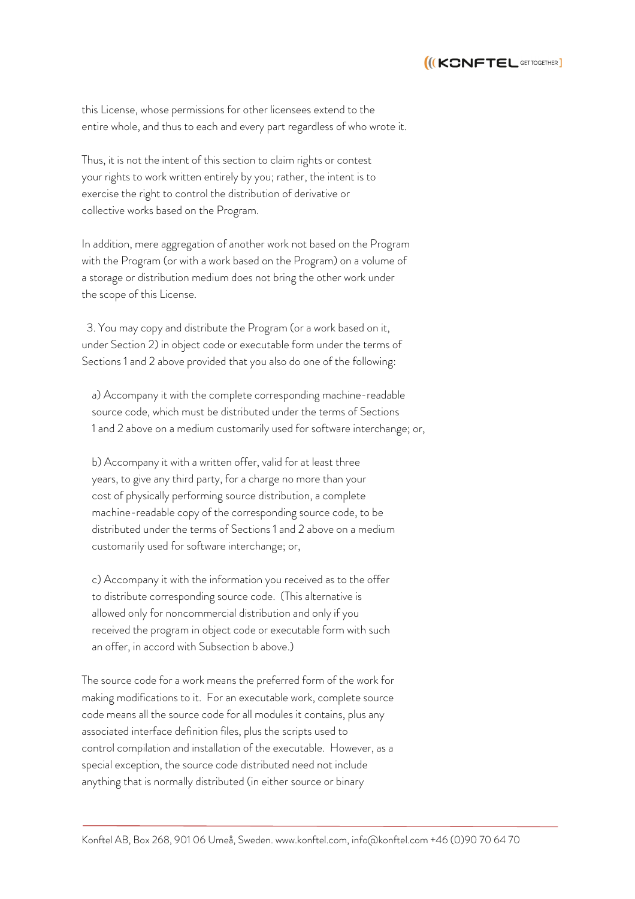

this License, whose permissions for other licensees extend to the entire whole, and thus to each and every part regardless of who wrote it.

Thus, it is not the intent of this section to claim rights or contest your rights to work written entirely by you; rather, the intent is to exercise the right to control the distribution of derivative or collective works based on the Program.

In addition, mere aggregation of another work not based on the Program with the Program (or with a work based on the Program) on a volume of a storage or distribution medium does not bring the other work under the scope of this License.

 3. You may copy and distribute the Program (or a work based on it, under Section 2) in object code or executable form under the terms of Sections 1 and 2 above provided that you also do one of the following:

 a) Accompany it with the complete corresponding machine-readable source code, which must be distributed under the terms of Sections 1 and 2 above on a medium customarily used for software interchange; or,

 b) Accompany it with a written offer, valid for at least three years, to give any third party, for a charge no more than your cost of physically performing source distribution, a complete machine-readable copy of the corresponding source code, to be distributed under the terms of Sections 1 and 2 above on a medium customarily used for software interchange; or,

 c) Accompany it with the information you received as to the offer to distribute corresponding source code. (This alternative is allowed only for noncommercial distribution and only if you received the program in object code or executable form with such an offer, in accord with Subsection b above.)

The source code for a work means the preferred form of the work for making modifications to it. For an executable work, complete source code means all the source code for all modules it contains, plus any associated interface definition files, plus the scripts used to control compilation and installation of the executable. However, as a special exception, the source code distributed need not include anything that is normally distributed (in either source or binary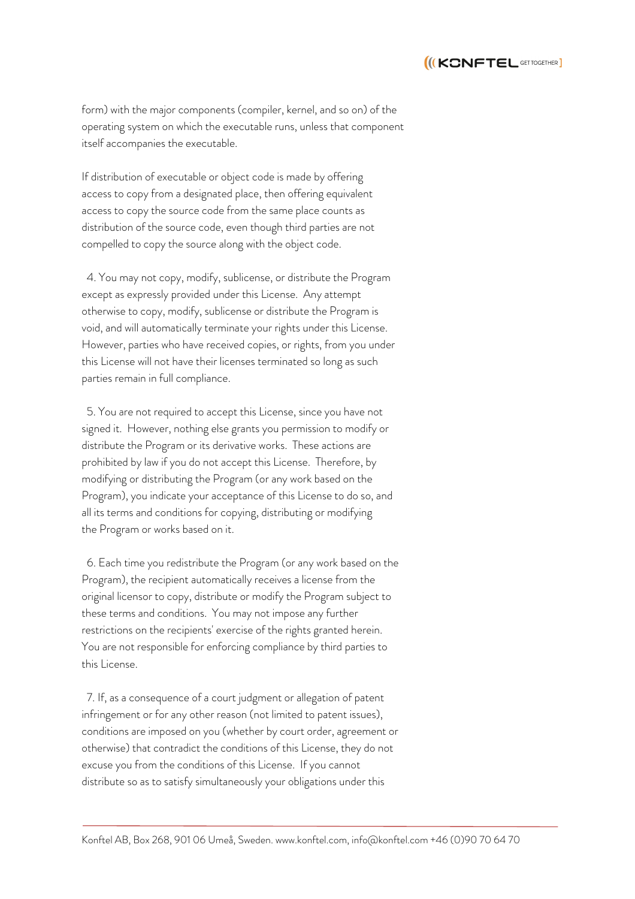

form) with the major components (compiler, kernel, and so on) of the operating system on which the executable runs, unless that component itself accompanies the executable.

If distribution of executable or object code is made by offering access to copy from a designated place, then offering equivalent access to copy the source code from the same place counts as distribution of the source code, even though third parties are not compelled to copy the source along with the object code.

 4. You may not copy, modify, sublicense, or distribute the Program except as expressly provided under this License. Any attempt otherwise to copy, modify, sublicense or distribute the Program is void, and will automatically terminate your rights under this License. However, parties who have received copies, or rights, from you under this License will not have their licenses terminated so long as such parties remain in full compliance.

 5. You are not required to accept this License, since you have not signed it. However, nothing else grants you permission to modify or distribute the Program or its derivative works. These actions are prohibited by law if you do not accept this License. Therefore, by modifying or distributing the Program (or any work based on the Program), you indicate your acceptance of this License to do so, and all its terms and conditions for copying, distributing or modifying the Program or works based on it.

 6. Each time you redistribute the Program (or any work based on the Program), the recipient automatically receives a license from the original licensor to copy, distribute or modify the Program subject to these terms and conditions. You may not impose any further restrictions on the recipients' exercise of the rights granted herein. You are not responsible for enforcing compliance by third parties to this License.

 7. If, as a consequence of a court judgment or allegation of patent infringement or for any other reason (not limited to patent issues), conditions are imposed on you (whether by court order, agreement or otherwise) that contradict the conditions of this License, they do not excuse you from the conditions of this License. If you cannot distribute so as to satisfy simultaneously your obligations under this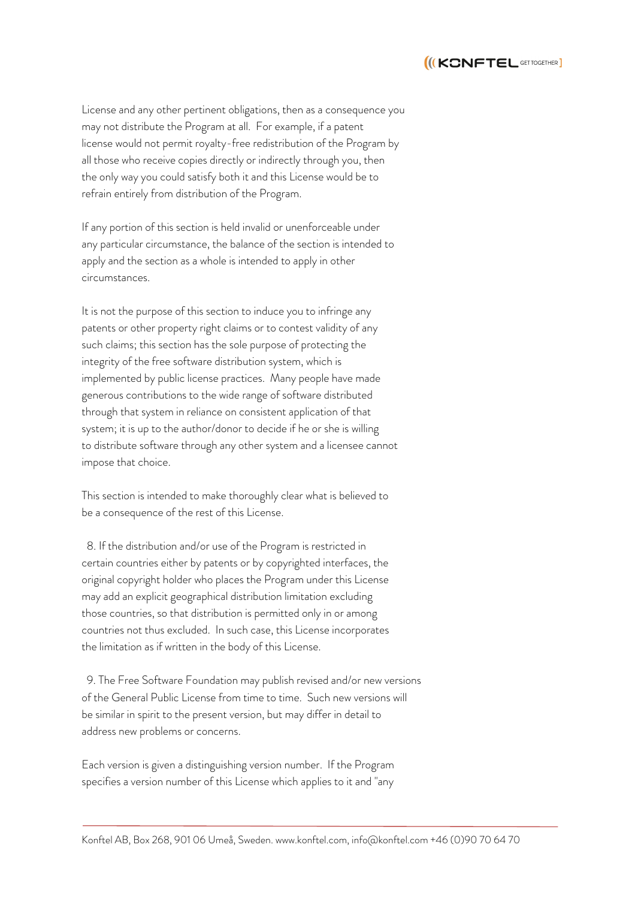

License and any other pertinent obligations, then as a consequence you may not distribute the Program at all. For example, if a patent license would not permit royalty-free redistribution of the Program by all those who receive copies directly or indirectly through you, then the only way you could satisfy both it and this License would be to refrain entirely from distribution of the Program.

If any portion of this section is held invalid or unenforceable under any particular circumstance, the balance of the section is intended to apply and the section as a whole is intended to apply in other circumstances.

It is not the purpose of this section to induce you to infringe any patents or other property right claims or to contest validity of any such claims; this section has the sole purpose of protecting the integrity of the free software distribution system, which is implemented by public license practices. Many people have made generous contributions to the wide range of software distributed through that system in reliance on consistent application of that system; it is up to the author/donor to decide if he or she is willing to distribute software through any other system and a licensee cannot impose that choice.

This section is intended to make thoroughly clear what is believed to be a consequence of the rest of this License.

 8. If the distribution and/or use of the Program is restricted in certain countries either by patents or by copyrighted interfaces, the original copyright holder who places the Program under this License may add an explicit geographical distribution limitation excluding those countries, so that distribution is permitted only in or among countries not thus excluded. In such case, this License incorporates the limitation as if written in the body of this License.

 9. The Free Software Foundation may publish revised and/or new versions of the General Public License from time to time. Such new versions will be similar in spirit to the present version, but may differ in detail to address new problems or concerns.

Each version is given a distinguishing version number. If the Program specifies a version number of this License which applies to it and "any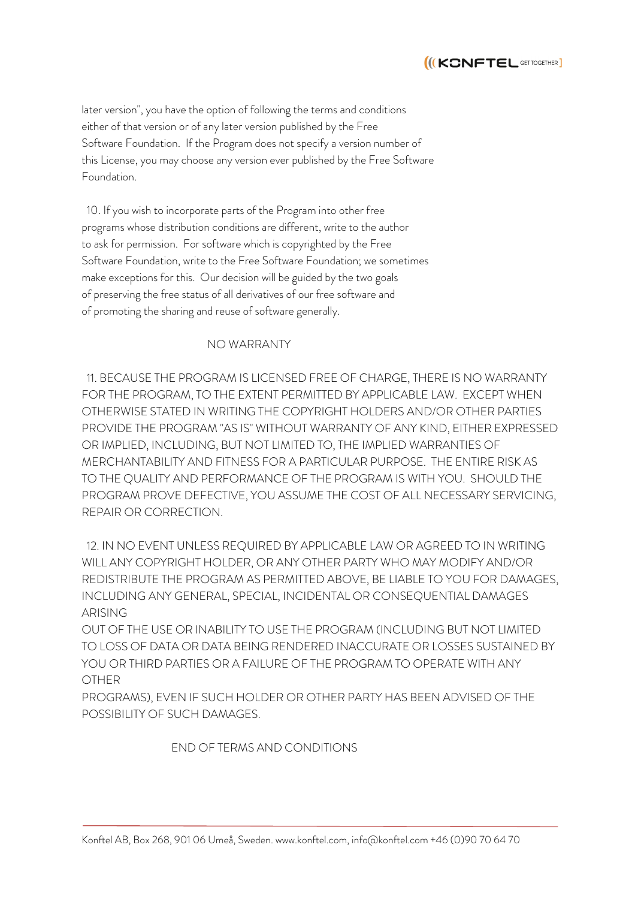

later version", you have the option of following the terms and conditions either of that version or of any later version published by the Free Software Foundation. If the Program does not specify a version number of this License, you may choose any version ever published by the Free Software Foundation.

 10. If you wish to incorporate parts of the Program into other free programs whose distribution conditions are different, write to the author to ask for permission. For software which is copyrighted by the Free Software Foundation, write to the Free Software Foundation; we sometimes make exceptions for this. Our decision will be guided by the two goals of preserving the free status of all derivatives of our free software and of promoting the sharing and reuse of software generally.

## NO WARRANTY

 11. BECAUSE THE PROGRAM IS LICENSED FREE OF CHARGE, THERE IS NO WARRANTY FOR THE PROGRAM, TO THE EXTENT PERMITTED BY APPLICABLE LAW. EXCEPT WHEN OTHERWISE STATED IN WRITING THE COPYRIGHT HOLDERS AND/OR OTHER PARTIES PROVIDE THE PROGRAM "AS IS" WITHOUT WARRANTY OF ANY KIND, EITHER EXPRESSED OR IMPLIED, INCLUDING, BUT NOT LIMITED TO, THE IMPLIED WARRANTIES OF MERCHANTABILITY AND FITNESS FOR A PARTICULAR PURPOSE. THE ENTIRE RISK AS TO THE QUALITY AND PERFORMANCE OF THE PROGRAM IS WITH YOU. SHOULD THE PROGRAM PROVE DEFECTIVE, YOU ASSUME THE COST OF ALL NECESSARY SERVICING, REPAIR OR CORRECTION.

 12. IN NO EVENT UNLESS REQUIRED BY APPLICABLE LAW OR AGREED TO IN WRITING WILL ANY COPYRIGHT HOLDER, OR ANY OTHER PARTY WHO MAY MODIFY AND/OR REDISTRIBUTE THE PROGRAM AS PERMITTED ABOVE, BE LIABLE TO YOU FOR DAMAGES, INCLUDING ANY GENERAL, SPECIAL, INCIDENTAL OR CONSEQUENTIAL DAMAGES ARISING

OUT OF THE USE OR INABILITY TO USE THE PROGRAM (INCLUDING BUT NOT LIMITED TO LOSS OF DATA OR DATA BEING RENDERED INACCURATE OR LOSSES SUSTAINED BY YOU OR THIRD PARTIES OR A FAILURE OF THE PROGRAM TO OPERATE WITH ANY OTHER

PROGRAMS), EVEN IF SUCH HOLDER OR OTHER PARTY HAS BEEN ADVISED OF THE POSSIBILITY OF SUCH DAMAGES.

## END OF TERMS AND CONDITIONS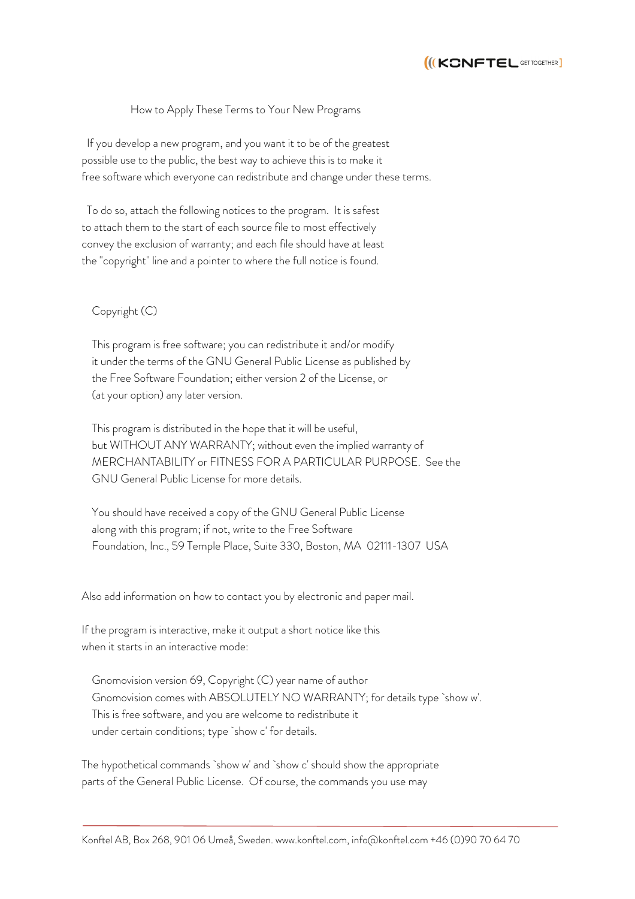

#### How to Apply These Terms to Your New Programs

 If you develop a new program, and you want it to be of the greatest possible use to the public, the best way to achieve this is to make it free software which everyone can redistribute and change under these terms.

 To do so, attach the following notices to the program. It is safest to attach them to the start of each source file to most effectively convey the exclusion of warranty; and each file should have at least the "copyright" line and a pointer to where the full notice is found.

## Copyright (C)

 This program is free software; you can redistribute it and/or modify it under the terms of the GNU General Public License as published by the Free Software Foundation; either version 2 of the License, or (at your option) any later version.

 This program is distributed in the hope that it will be useful, but WITHOUT ANY WARRANTY; without even the implied warranty of MERCHANTABILITY or FITNESS FOR A PARTICULAR PURPOSE. See the GNU General Public License for more details.

 You should have received a copy of the GNU General Public License along with this program; if not, write to the Free Software Foundation, Inc., 59 Temple Place, Suite 330, Boston, MA 02111-1307 USA

Also add information on how to contact you by electronic and paper mail.

If the program is interactive, make it output a short notice like this when it starts in an interactive mode:

 Gnomovision version 69, Copyright (C) year name of author Gnomovision comes with ABSOLUTELY NO WARRANTY; for details type `show w'. This is free software, and you are welcome to redistribute it under certain conditions; type `show c' for details.

The hypothetical commands `show w' and `show c' should show the appropriate parts of the General Public License. Of course, the commands you use may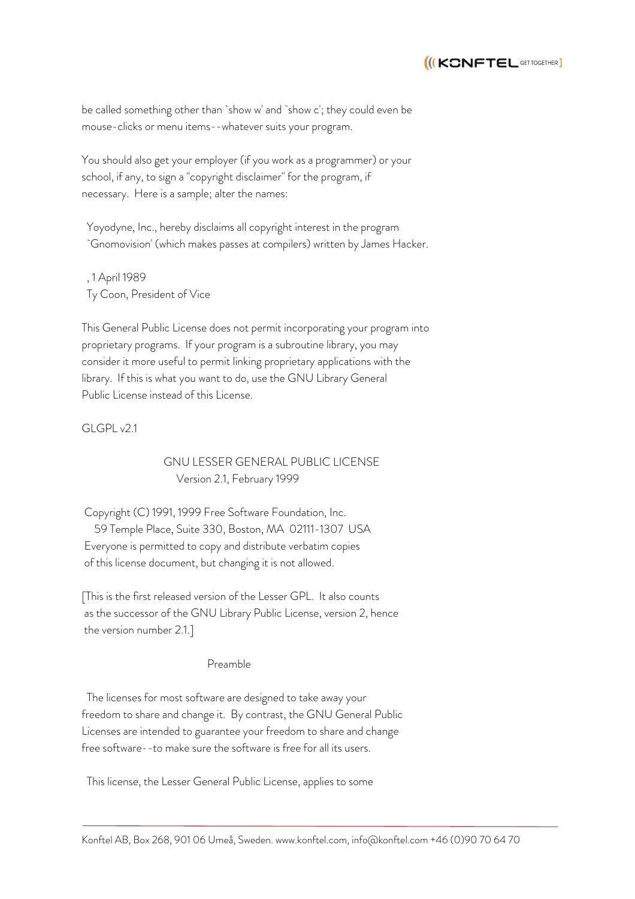

be called something other than `show w' and `show c'; they could even be mouse-clicks or menu items--whatever suits your program.

You should also get your employer (if you work as a programmer) or your school, if any, to sign a "copyright disclaimer" for the program, if necessary. Here is a sample; alter the names:

 Yoyodyne, Inc., hereby disclaims all copyright interest in the program `Gnomovision' (which makes passes at compilers) written by James Hacker.

 , 1 April 1989 Ty Coon, President of Vice

This General Public License does not permit incorporating your program into proprietary programs. If your program is a subroutine library, you may consider it more useful to permit linking proprietary applications with the library. If this is what you want to do, use the GNU Library General Public License instead of this License.

 $GCRV21$ 

 GNU LESSER GENERAL PUBLIC LICENSE Version 2.1, February 1999

Copyright (C) 1991, 1999 Free Software Foundation, Inc. 59 Temple Place, Suite 330, Boston, MA 02111-1307 USA Everyone is permitted to copy and distribute verbatim copies of this license document, but changing it is not allowed.

[This is the first released version of the Lesser GPL. It also counts as the successor of the GNU Library Public License, version 2, hence the version number 2.1.]

#### Preamble

 The licenses for most software are designed to take away your freedom to share and change it. By contrast, the GNU General Public Licenses are intended to guarantee your freedom to share and change free software--to make sure the software is free for all its users.

This license, the Lesser General Public License, applies to some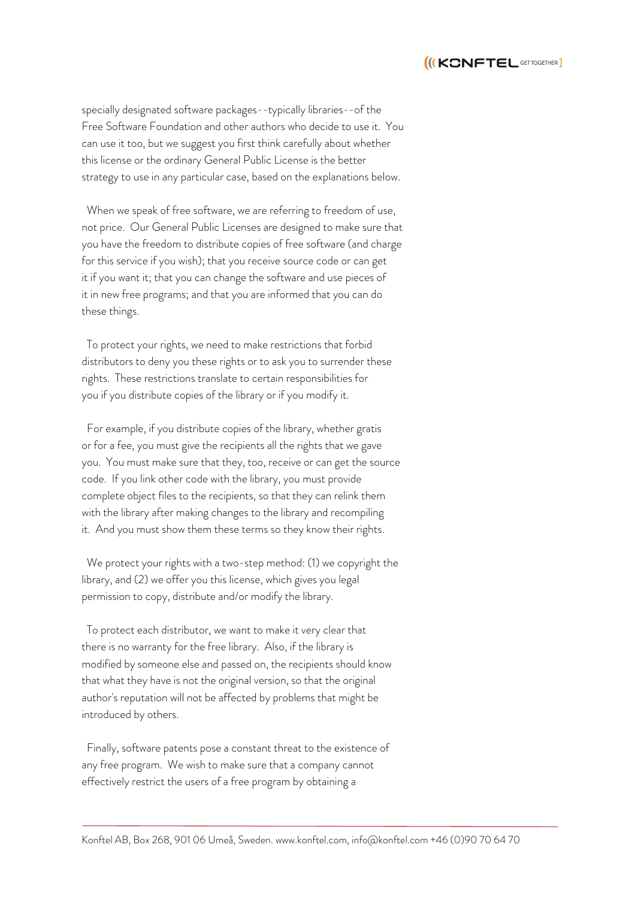

specially designated software packages--typically libraries--of the Free Software Foundation and other authors who decide to use it. You can use it too, but we suggest you first think carefully about whether this license or the ordinary General Public License is the better strategy to use in any particular case, based on the explanations below.

 When we speak of free software, we are referring to freedom of use, not price. Our General Public Licenses are designed to make sure that you have the freedom to distribute copies of free software (and charge for this service if you wish); that you receive source code or can get it if you want it; that you can change the software and use pieces of it in new free programs; and that you are informed that you can do these things.

 To protect your rights, we need to make restrictions that forbid distributors to deny you these rights or to ask you to surrender these rights. These restrictions translate to certain responsibilities for you if you distribute copies of the library or if you modify it.

 For example, if you distribute copies of the library, whether gratis or for a fee, you must give the recipients all the rights that we gave you. You must make sure that they, too, receive or can get the source code. If you link other code with the library, you must provide complete object files to the recipients, so that they can relink them with the library after making changes to the library and recompiling it. And you must show them these terms so they know their rights.

 We protect your rights with a two-step method: (1) we copyright the library, and (2) we offer you this license, which gives you legal permission to copy, distribute and/or modify the library.

 To protect each distributor, we want to make it very clear that there is no warranty for the free library. Also, if the library is modified by someone else and passed on, the recipients should know that what they have is not the original version, so that the original author's reputation will not be affected by problems that might be introduced by others.

 Finally, software patents pose a constant threat to the existence of any free program. We wish to make sure that a company cannot effectively restrict the users of a free program by obtaining a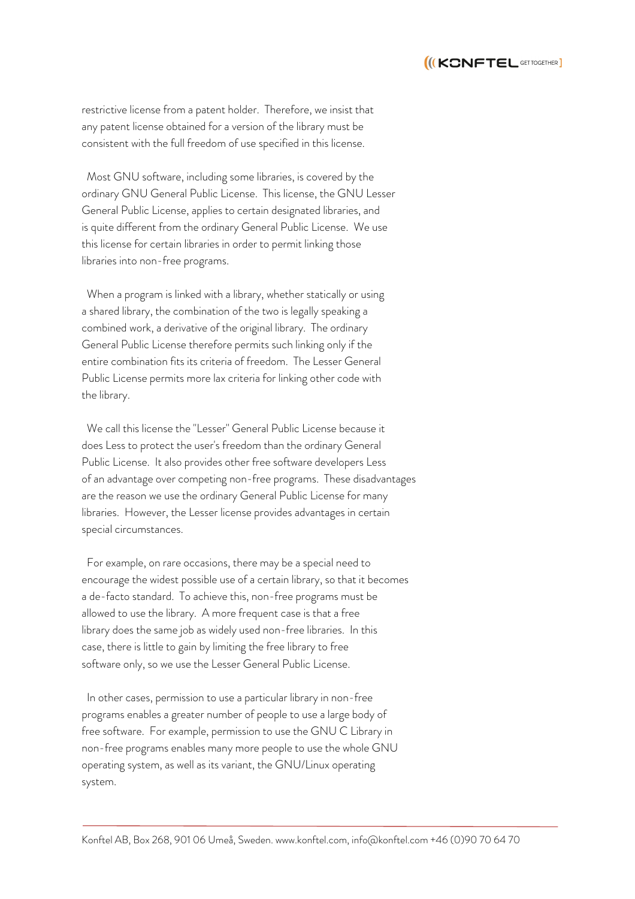

restrictive license from a patent holder. Therefore, we insist that any patent license obtained for a version of the library must be consistent with the full freedom of use specified in this license.

 Most GNU software, including some libraries, is covered by the ordinary GNU General Public License. This license, the GNU Lesser General Public License, applies to certain designated libraries, and is quite different from the ordinary General Public License. We use this license for certain libraries in order to permit linking those libraries into non-free programs.

 When a program is linked with a library, whether statically or using a shared library, the combination of the two is legally speaking a combined work, a derivative of the original library. The ordinary General Public License therefore permits such linking only if the entire combination fits its criteria of freedom. The Lesser General Public License permits more lax criteria for linking other code with the library.

 We call this license the "Lesser" General Public License because it does Less to protect the user's freedom than the ordinary General Public License. It also provides other free software developers Less of an advantage over competing non-free programs. These disadvantages are the reason we use the ordinary General Public License for many libraries. However, the Lesser license provides advantages in certain special circumstances.

 For example, on rare occasions, there may be a special need to encourage the widest possible use of a certain library, so that it becomes a de-facto standard. To achieve this, non-free programs must be allowed to use the library. A more frequent case is that a free library does the same job as widely used non-free libraries. In this case, there is little to gain by limiting the free library to free software only, so we use the Lesser General Public License.

 In other cases, permission to use a particular library in non-free programs enables a greater number of people to use a large body of free software. For example, permission to use the GNU C Library in non-free programs enables many more people to use the whole GNU operating system, as well as its variant, the GNU/Linux operating system.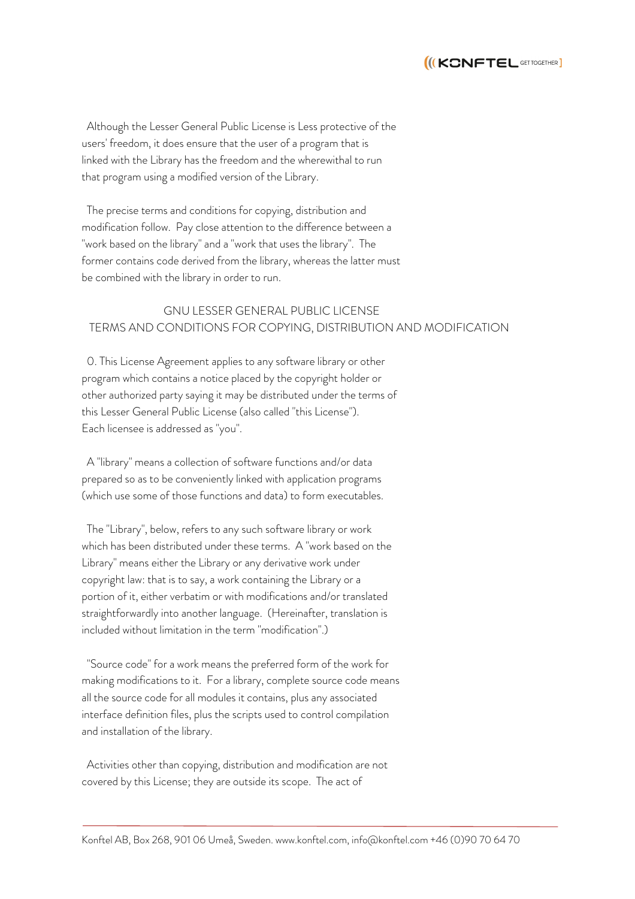

 Although the Lesser General Public License is Less protective of the users' freedom, it does ensure that the user of a program that is linked with the Library has the freedom and the wherewithal to run that program using a modified version of the Library.

 The precise terms and conditions for copying, distribution and modification follow. Pay close attention to the difference between a "work based on the library" and a "work that uses the library". The former contains code derived from the library, whereas the latter must be combined with the library in order to run.

# GNU LESSER GENERAL PUBLIC LICENSE TERMS AND CONDITIONS FOR COPYING, DISTRIBUTION AND MODIFICATION

 0. This License Agreement applies to any software library or other program which contains a notice placed by the copyright holder or other authorized party saying it may be distributed under the terms of this Lesser General Public License (also called "this License"). Each licensee is addressed as "you".

 A "library" means a collection of software functions and/or data prepared so as to be conveniently linked with application programs (which use some of those functions and data) to form executables.

 The "Library", below, refers to any such software library or work which has been distributed under these terms. A "work based on the Library" means either the Library or any derivative work under copyright law: that is to say, a work containing the Library or a portion of it, either verbatim or with modifications and/or translated straightforwardly into another language. (Hereinafter, translation is included without limitation in the term "modification".)

 "Source code" for a work means the preferred form of the work for making modifications to it. For a library, complete source code means all the source code for all modules it contains, plus any associated interface definition files, plus the scripts used to control compilation and installation of the library.

 Activities other than copying, distribution and modification are not covered by this License; they are outside its scope. The act of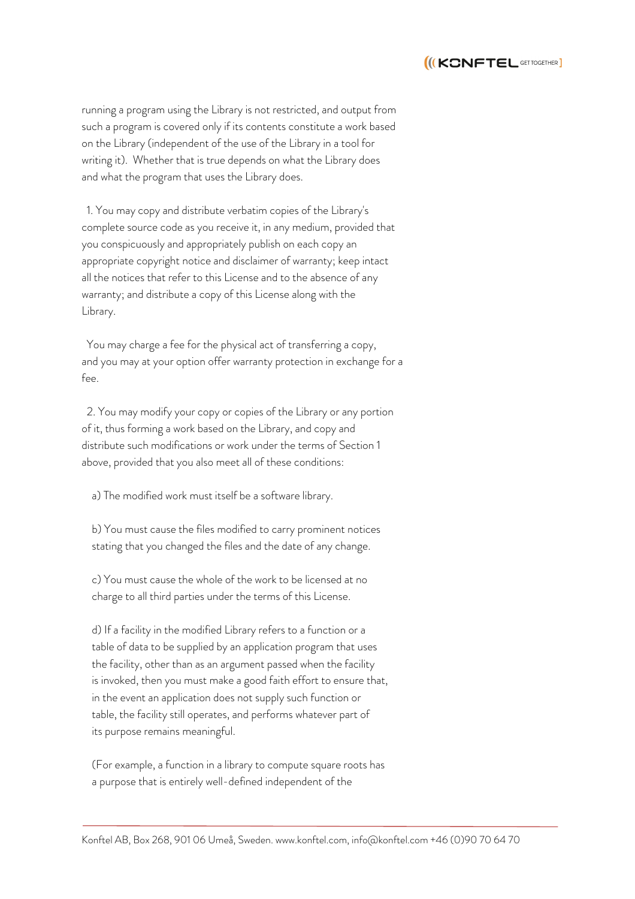

running a program using the Library is not restricted, and output from such a program is covered only if its contents constitute a work based on the Library (independent of the use of the Library in a tool for writing it). Whether that is true depends on what the Library does and what the program that uses the Library does.

 1. You may copy and distribute verbatim copies of the Library's complete source code as you receive it, in any medium, provided that you conspicuously and appropriately publish on each copy an appropriate copyright notice and disclaimer of warranty; keep intact all the notices that refer to this License and to the absence of any warranty; and distribute a copy of this License along with the Library.

 You may charge a fee for the physical act of transferring a copy, and you may at your option offer warranty protection in exchange for a fee.

 2. You may modify your copy or copies of the Library or any portion of it, thus forming a work based on the Library, and copy and distribute such modifications or work under the terms of Section 1 above, provided that you also meet all of these conditions:

a) The modified work must itself be a software library.

 b) You must cause the files modified to carry prominent notices stating that you changed the files and the date of any change.

 c) You must cause the whole of the work to be licensed at no charge to all third parties under the terms of this License.

 d) If a facility in the modified Library refers to a function or a table of data to be supplied by an application program that uses the facility, other than as an argument passed when the facility is invoked, then you must make a good faith effort to ensure that, in the event an application does not supply such function or table, the facility still operates, and performs whatever part of its purpose remains meaningful.

 (For example, a function in a library to compute square roots has a purpose that is entirely well-defined independent of the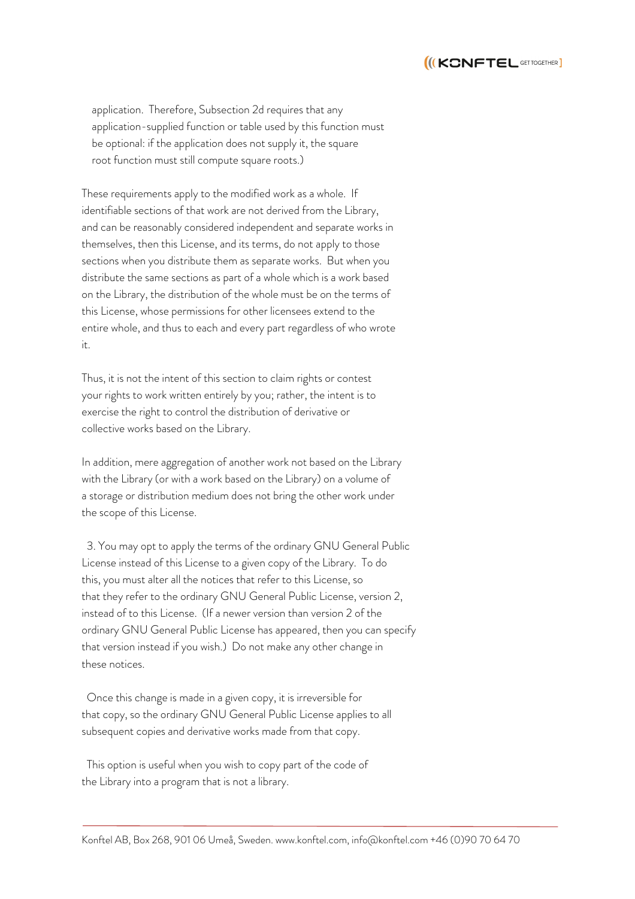

 application. Therefore, Subsection 2d requires that any application-supplied function or table used by this function must be optional: if the application does not supply it, the square root function must still compute square roots.)

These requirements apply to the modified work as a whole. If identifiable sections of that work are not derived from the Library, and can be reasonably considered independent and separate works in themselves, then this License, and its terms, do not apply to those sections when you distribute them as separate works. But when you distribute the same sections as part of a whole which is a work based on the Library, the distribution of the whole must be on the terms of this License, whose permissions for other licensees extend to the entire whole, and thus to each and every part regardless of who wrote it.

Thus, it is not the intent of this section to claim rights or contest your rights to work written entirely by you; rather, the intent is to exercise the right to control the distribution of derivative or collective works based on the Library.

In addition, mere aggregation of another work not based on the Library with the Library (or with a work based on the Library) on a volume of a storage or distribution medium does not bring the other work under the scope of this License.

 3. You may opt to apply the terms of the ordinary GNU General Public License instead of this License to a given copy of the Library. To do this, you must alter all the notices that refer to this License, so that they refer to the ordinary GNU General Public License, version 2, instead of to this License. (If a newer version than version 2 of the ordinary GNU General Public License has appeared, then you can specify that version instead if you wish.) Do not make any other change in these notices.

 Once this change is made in a given copy, it is irreversible for that copy, so the ordinary GNU General Public License applies to all subsequent copies and derivative works made from that copy.

 This option is useful when you wish to copy part of the code of the Library into a program that is not a library.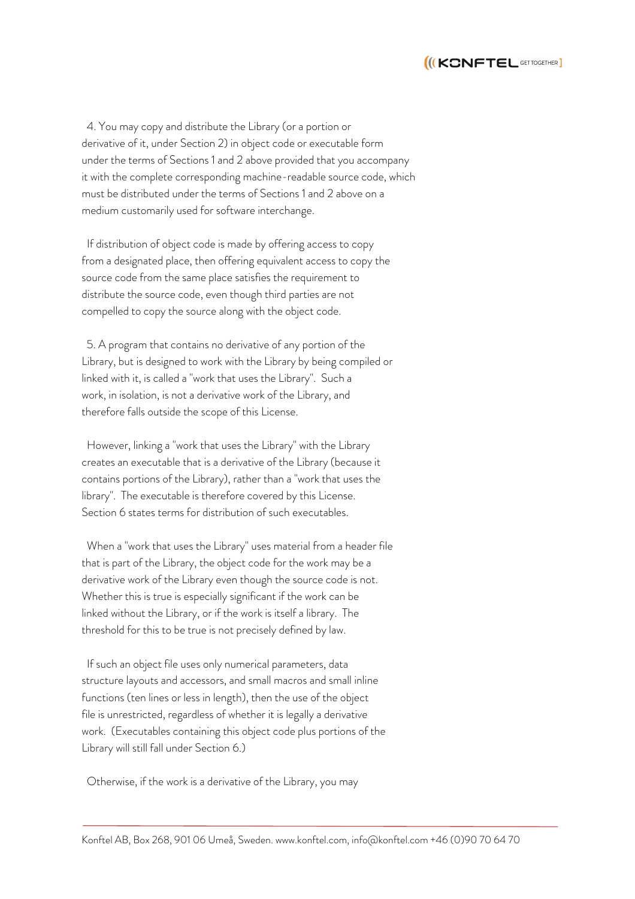

 4. You may copy and distribute the Library (or a portion or derivative of it, under Section 2) in object code or executable form under the terms of Sections 1 and 2 above provided that you accompany it with the complete corresponding machine-readable source code, which must be distributed under the terms of Sections 1 and 2 above on a medium customarily used for software interchange.

 If distribution of object code is made by offering access to copy from a designated place, then offering equivalent access to copy the source code from the same place satisfies the requirement to distribute the source code, even though third parties are not compelled to copy the source along with the object code.

 5. A program that contains no derivative of any portion of the Library, but is designed to work with the Library by being compiled or linked with it, is called a "work that uses the Library". Such a work, in isolation, is not a derivative work of the Library, and therefore falls outside the scope of this License.

 However, linking a "work that uses the Library" with the Library creates an executable that is a derivative of the Library (because it contains portions of the Library), rather than a "work that uses the library". The executable is therefore covered by this License. Section 6 states terms for distribution of such executables.

 When a "work that uses the Library" uses material from a header file that is part of the Library, the object code for the work may be a derivative work of the Library even though the source code is not. Whether this is true is especially significant if the work can be linked without the Library, or if the work is itself a library. The threshold for this to be true is not precisely defined by law.

 If such an object file uses only numerical parameters, data structure layouts and accessors, and small macros and small inline functions (ten lines or less in length), then the use of the object file is unrestricted, regardless of whether it is legally a derivative work. (Executables containing this object code plus portions of the Library will still fall under Section 6.)

Otherwise, if the work is a derivative of the Library, you may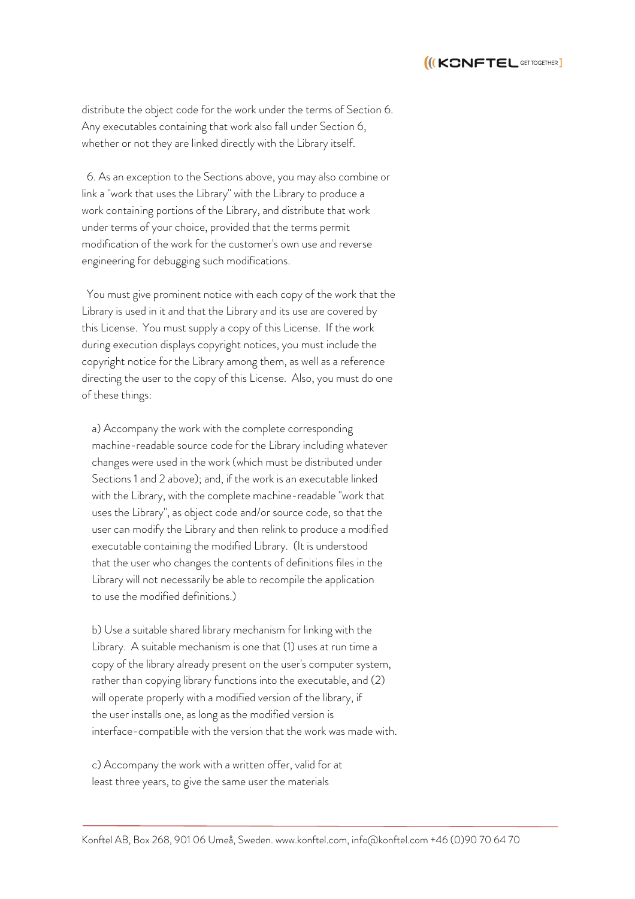

distribute the object code for the work under the terms of Section 6. Any executables containing that work also fall under Section 6, whether or not they are linked directly with the Library itself.

 6. As an exception to the Sections above, you may also combine or link a "work that uses the Library" with the Library to produce a work containing portions of the Library, and distribute that work under terms of your choice, provided that the terms permit modification of the work for the customer's own use and reverse engineering for debugging such modifications.

 You must give prominent notice with each copy of the work that the Library is used in it and that the Library and its use are covered by this License. You must supply a copy of this License. If the work during execution displays copyright notices, you must include the copyright notice for the Library among them, as well as a reference directing the user to the copy of this License. Also, you must do one of these things:

 a) Accompany the work with the complete corresponding machine-readable source code for the Library including whatever changes were used in the work (which must be distributed under Sections 1 and 2 above); and, if the work is an executable linked with the Library, with the complete machine-readable "work that uses the Library", as object code and/or source code, so that the user can modify the Library and then relink to produce a modified executable containing the modified Library. (It is understood that the user who changes the contents of definitions files in the Library will not necessarily be able to recompile the application to use the modified definitions.)

 b) Use a suitable shared library mechanism for linking with the Library. A suitable mechanism is one that (1) uses at run time a copy of the library already present on the user's computer system, rather than copying library functions into the executable, and (2) will operate properly with a modified version of the library, if the user installs one, as long as the modified version is interface-compatible with the version that the work was made with.

 c) Accompany the work with a written offer, valid for at least three years, to give the same user the materials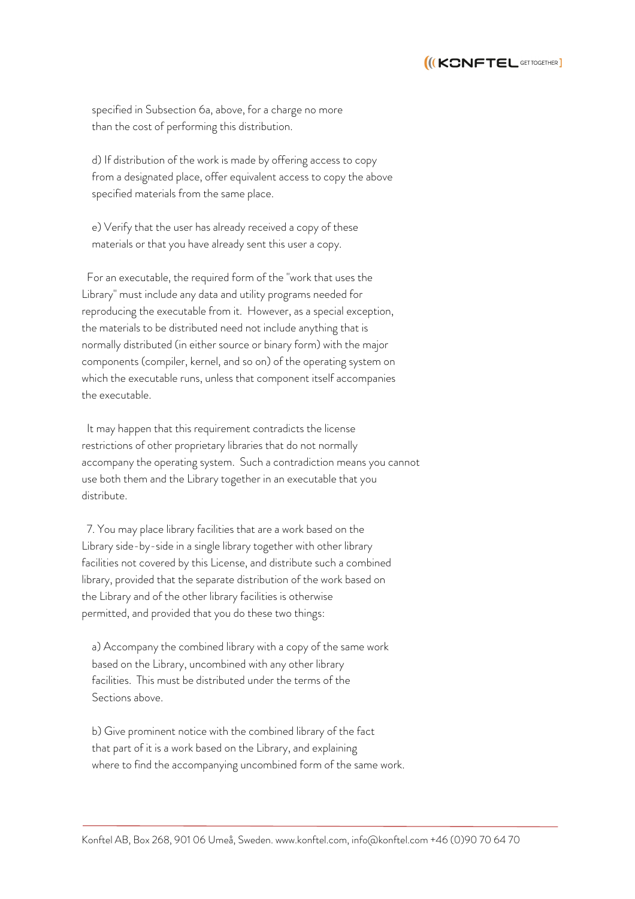

 specified in Subsection 6a, above, for a charge no more than the cost of performing this distribution.

 d) If distribution of the work is made by offering access to copy from a designated place, offer equivalent access to copy the above specified materials from the same place.

 e) Verify that the user has already received a copy of these materials or that you have already sent this user a copy.

 For an executable, the required form of the "work that uses the Library" must include any data and utility programs needed for reproducing the executable from it. However, as a special exception, the materials to be distributed need not include anything that is normally distributed (in either source or binary form) with the major components (compiler, kernel, and so on) of the operating system on which the executable runs, unless that component itself accompanies the executable.

 It may happen that this requirement contradicts the license restrictions of other proprietary libraries that do not normally accompany the operating system. Such a contradiction means you cannot use both them and the Library together in an executable that you distribute.

 7. You may place library facilities that are a work based on the Library side-by-side in a single library together with other library facilities not covered by this License, and distribute such a combined library, provided that the separate distribution of the work based on the Library and of the other library facilities is otherwise permitted, and provided that you do these two things:

 a) Accompany the combined library with a copy of the same work based on the Library, uncombined with any other library facilities. This must be distributed under the terms of the Sections above.

 b) Give prominent notice with the combined library of the fact that part of it is a work based on the Library, and explaining where to find the accompanying uncombined form of the same work.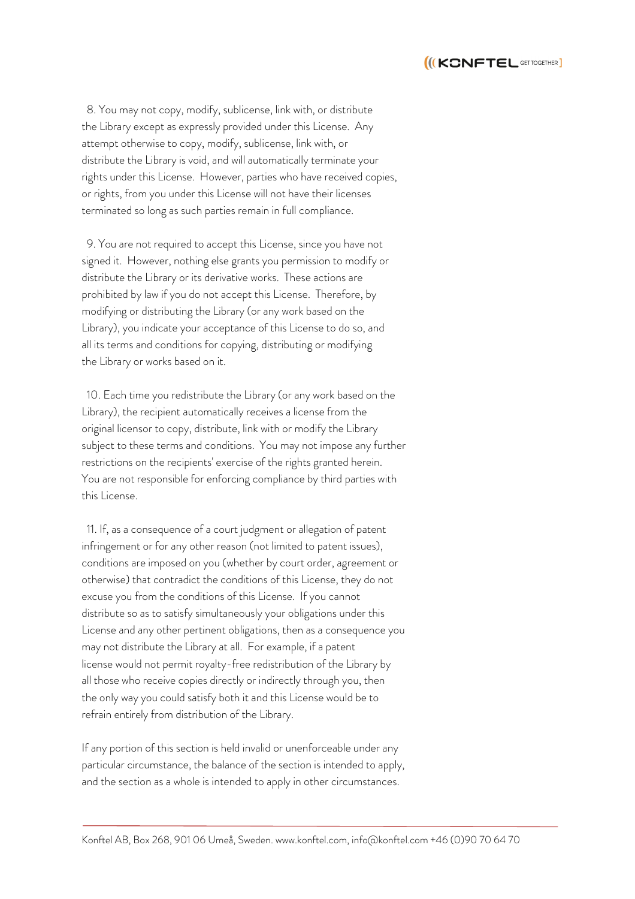

 8. You may not copy, modify, sublicense, link with, or distribute the Library except as expressly provided under this License. Any attempt otherwise to copy, modify, sublicense, link with, or distribute the Library is void, and will automatically terminate your rights under this License. However, parties who have received copies, or rights, from you under this License will not have their licenses terminated so long as such parties remain in full compliance.

 9. You are not required to accept this License, since you have not signed it. However, nothing else grants you permission to modify or distribute the Library or its derivative works. These actions are prohibited by law if you do not accept this License. Therefore, by modifying or distributing the Library (or any work based on the Library), you indicate your acceptance of this License to do so, and all its terms and conditions for copying, distributing or modifying the Library or works based on it.

 10. Each time you redistribute the Library (or any work based on the Library), the recipient automatically receives a license from the original licensor to copy, distribute, link with or modify the Library subject to these terms and conditions. You may not impose any further restrictions on the recipients' exercise of the rights granted herein. You are not responsible for enforcing compliance by third parties with this License.

 11. If, as a consequence of a court judgment or allegation of patent infringement or for any other reason (not limited to patent issues), conditions are imposed on you (whether by court order, agreement or otherwise) that contradict the conditions of this License, they do not excuse you from the conditions of this License. If you cannot distribute so as to satisfy simultaneously your obligations under this License and any other pertinent obligations, then as a consequence you may not distribute the Library at all. For example, if a patent license would not permit royalty-free redistribution of the Library by all those who receive copies directly or indirectly through you, then the only way you could satisfy both it and this License would be to refrain entirely from distribution of the Library.

If any portion of this section is held invalid or unenforceable under any particular circumstance, the balance of the section is intended to apply, and the section as a whole is intended to apply in other circumstances.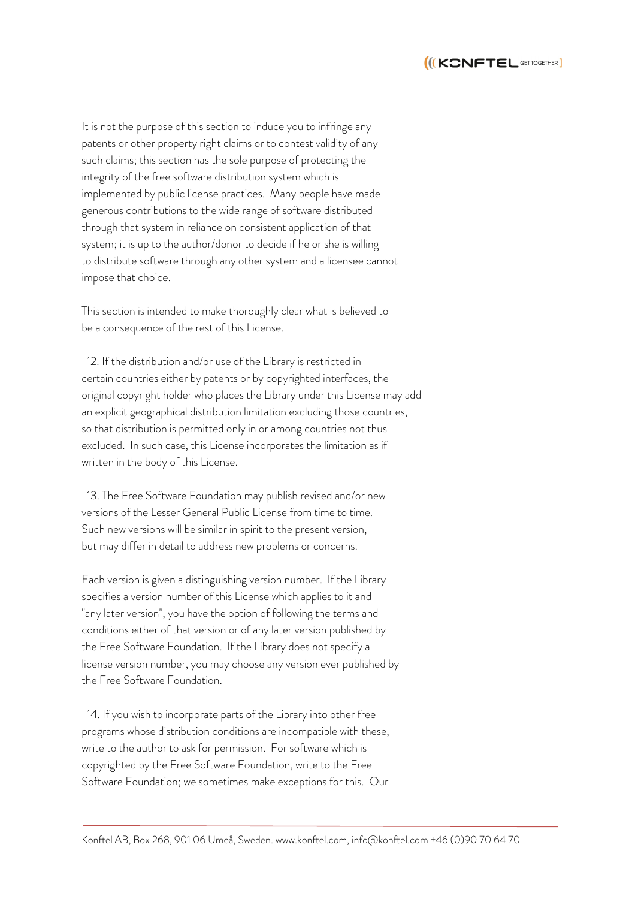

It is not the purpose of this section to induce you to infringe any patents or other property right claims or to contest validity of any such claims; this section has the sole purpose of protecting the integrity of the free software distribution system which is implemented by public license practices. Many people have made generous contributions to the wide range of software distributed through that system in reliance on consistent application of that system; it is up to the author/donor to decide if he or she is willing to distribute software through any other system and a licensee cannot impose that choice.

This section is intended to make thoroughly clear what is believed to be a consequence of the rest of this License.

 12. If the distribution and/or use of the Library is restricted in certain countries either by patents or by copyrighted interfaces, the original copyright holder who places the Library under this License may add an explicit geographical distribution limitation excluding those countries, so that distribution is permitted only in or among countries not thus excluded. In such case, this License incorporates the limitation as if written in the body of this License.

 13. The Free Software Foundation may publish revised and/or new versions of the Lesser General Public License from time to time. Such new versions will be similar in spirit to the present version, but may differ in detail to address new problems or concerns.

Each version is given a distinguishing version number. If the Library specifies a version number of this License which applies to it and "any later version", you have the option of following the terms and conditions either of that version or of any later version published by the Free Software Foundation. If the Library does not specify a license version number, you may choose any version ever published by the Free Software Foundation.

 14. If you wish to incorporate parts of the Library into other free programs whose distribution conditions are incompatible with these, write to the author to ask for permission. For software which is copyrighted by the Free Software Foundation, write to the Free Software Foundation; we sometimes make exceptions for this. Our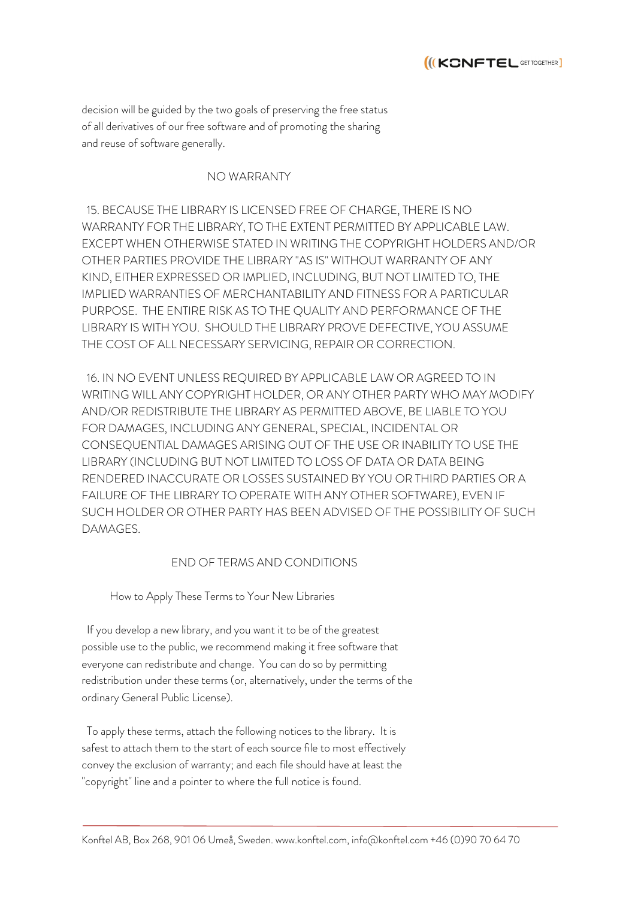

decision will be guided by the two goals of preserving the free status of all derivatives of our free software and of promoting the sharing and reuse of software generally.

## NO WARRANTY

 15. BECAUSE THE LIBRARY IS LICENSED FREE OF CHARGE, THERE IS NO WARRANTY FOR THE LIBRARY, TO THE EXTENT PERMITTED BY APPLICABLE LAW. EXCEPT WHEN OTHERWISE STATED IN WRITING THE COPYRIGHT HOLDERS AND/OR OTHER PARTIES PROVIDE THE LIBRARY "AS IS" WITHOUT WARRANTY OF ANY KIND, EITHER EXPRESSED OR IMPLIED, INCLUDING, BUT NOT LIMITED TO, THE IMPLIED WARRANTIES OF MERCHANTABILITY AND FITNESS FOR A PARTICULAR PURPOSE. THE ENTIRE RISK AS TO THE QUALITY AND PERFORMANCE OF THE LIBRARY IS WITH YOU. SHOULD THE LIBRARY PROVE DEFECTIVE, YOU ASSUME THE COST OF ALL NECESSARY SERVICING, REPAIR OR CORRECTION.

 16. IN NO EVENT UNLESS REQUIRED BY APPLICABLE LAW OR AGREED TO IN WRITING WILL ANY COPYRIGHT HOLDER, OR ANY OTHER PARTY WHO MAY MODIFY AND/OR REDISTRIBUTE THE LIBRARY AS PERMITTED ABOVE, BE LIABLE TO YOU FOR DAMAGES, INCLUDING ANY GENERAL, SPECIAL, INCIDENTAL OR CONSEQUENTIAL DAMAGES ARISING OUT OF THE USE OR INABILITY TO USE THE LIBRARY (INCLUDING BUT NOT LIMITED TO LOSS OF DATA OR DATA BEING RENDERED INACCURATE OR LOSSES SUSTAINED BY YOU OR THIRD PARTIES OR A FAILURE OF THE LIBRARY TO OPERATE WITH ANY OTHER SOFTWARE), EVEN IF SUCH HOLDER OR OTHER PARTY HAS BEEN ADVISED OF THE POSSIBILITY OF SUCH DAMAGES.

## END OF TERMS AND CONDITIONS

How to Apply These Terms to Your New Libraries

 If you develop a new library, and you want it to be of the greatest possible use to the public, we recommend making it free software that everyone can redistribute and change. You can do so by permitting redistribution under these terms (or, alternatively, under the terms of the ordinary General Public License).

 To apply these terms, attach the following notices to the library. It is safest to attach them to the start of each source file to most effectively convey the exclusion of warranty; and each file should have at least the "copyright" line and a pointer to where the full notice is found.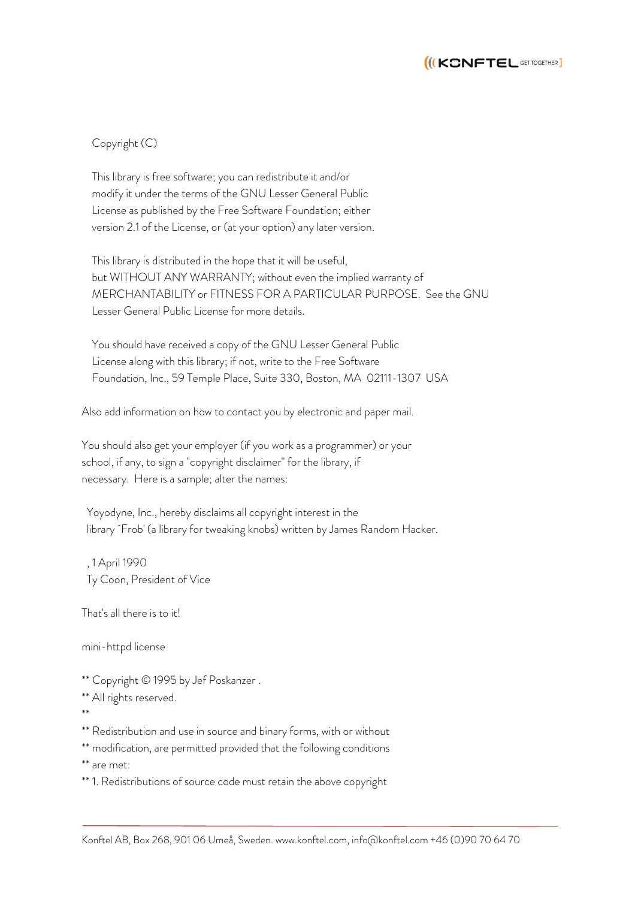

## Copyright (C)

 This library is free software; you can redistribute it and/or modify it under the terms of the GNU Lesser General Public License as published by the Free Software Foundation; either version 2.1 of the License, or (at your option) any later version.

 This library is distributed in the hope that it will be useful, but WITHOUT ANY WARRANTY; without even the implied warranty of MERCHANTABILITY or FITNESS FOR A PARTICULAR PURPOSE. See the GNU Lesser General Public License for more details.

 You should have received a copy of the GNU Lesser General Public License along with this library; if not, write to the Free Software Foundation, Inc., 59 Temple Place, Suite 330, Boston, MA 02111-1307 USA

Also add information on how to contact you by electronic and paper mail.

You should also get your employer (if you work as a programmer) or your school, if any, to sign a "copyright disclaimer" for the library, if necessary. Here is a sample; alter the names:

 Yoyodyne, Inc., hereby disclaims all copyright interest in the library `Frob' (a library for tweaking knobs) written by James Random Hacker.

 , 1 April 1990 Ty Coon, President of Vice

That's all there is to it!

mini-httpd license

\*\* Copyright © 1995 by Jef Poskanzer .

\*\* All rights reserved.

\*\*

\*\* Redistribution and use in source and binary forms, with or without

\*\* modification, are permitted provided that the following conditions

\*\* are met:

\*\* 1. Redistributions of source code must retain the above copyright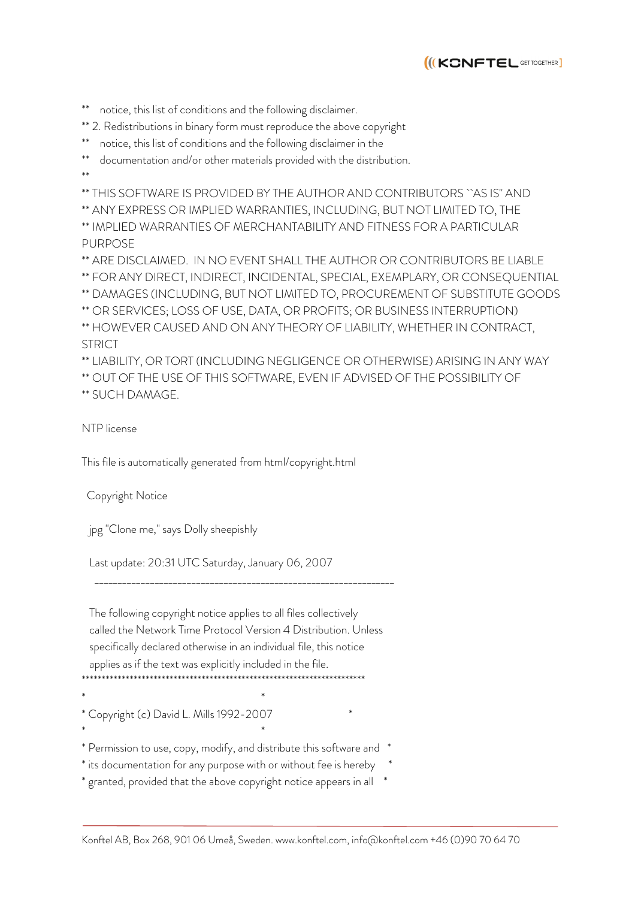

notice, this list of conditions and the following disclaimer.

- \*\* 2. Redistributions in binary form must reproduce the above copyright
- notice, this list of conditions and the following disclaimer in the

documentation and/or other materials provided with the distribution.

\*\*

\*\* THIS SOFTWARE IS PROVIDED BY THE AUTHOR AND CONTRIBUTORS ``AS IS'' AND

\*\* ANY EXPRESS OR IMPLIED WARRANTIES, INCLUDING, BUT NOT LIMITED TO, THE \*\* IMPLIED WARRANTIES OF MERCHANTABILITY AND FITNESS FOR A PARTICULAR PURPOSE

\*\* ARE DISCLAIMED. IN NO EVENT SHALL THE AUTHOR OR CONTRIBUTORS BE LIABLE \*\* FOR ANY DIRECT, INDIRECT, INCIDENTAL, SPECIAL, EXEMPLARY, OR CONSEQUENTIAL \*\* DAMAGES (INCLUDING, BUT NOT LIMITED TO, PROCUREMENT OF SUBSTITUTE GOODS \*\* OR SERVICES; LOSS OF USE, DATA, OR PROFITS; OR BUSINESS INTERRUPTION) \*\* HOWEVER CAUSED AND ON ANY THEORY OF LIABILITY, WHETHER IN CONTRACT, STRICT

\*\* LIABILITY, OR TORT (INCLUDING NEGLIGENCE OR OTHERWISE) ARISING IN ANY WAY \*\* OUT OF THE USE OF THIS SOFTWARE, EVEN IF ADVISED OF THE POSSIBILITY OF \*\* SUCH DAMAGE.

NTP license

This file is automatically generated from html/copyright.html

Copyright Notice

jpg "Clone me," says Dolly sheepishly

Last update: 20:31 UTC Saturday, January 06, 2007

\_\_\_\_\_\_\_\_\_\_\_\_\_\_\_\_\_\_\_\_\_\_\_\_\_\_\_\_\_\_\_\_\_\_\_\_\_\_\_\_\_\_\_\_\_\_\_\_\_\_\_\_\_\_\_\_\_\_\_\_\_\_\_\_\_

 The following copyright notice applies to all files collectively called the Network Time Protocol Version 4 Distribution. Unless specifically declared otherwise in an individual file, this notice applies as if the text was explicitly included in the file.

\*\*\*\*\*\*\*\*\*\*\*\*\*\*\*\*\*\*\*\*\*\*\*\*\*\*\*\*\*\*\*\*\*\*\*\*\*\*\*\*\*\*\*\*\*\*\*\*\*\*\*\*\*\*\*\*\*\*\*\*\*\*\*\*\*\*\*\*\*\*\*

 $\star$ 

Copyright (c) David L. Mills 1992-2007  $\star$ 

\* Permission to use, copy, modify, and distribute this software and \*

\* its documentation for any purpose with or without fee is hereby \*

\* granted, provided that the above copyright notice appears in all \*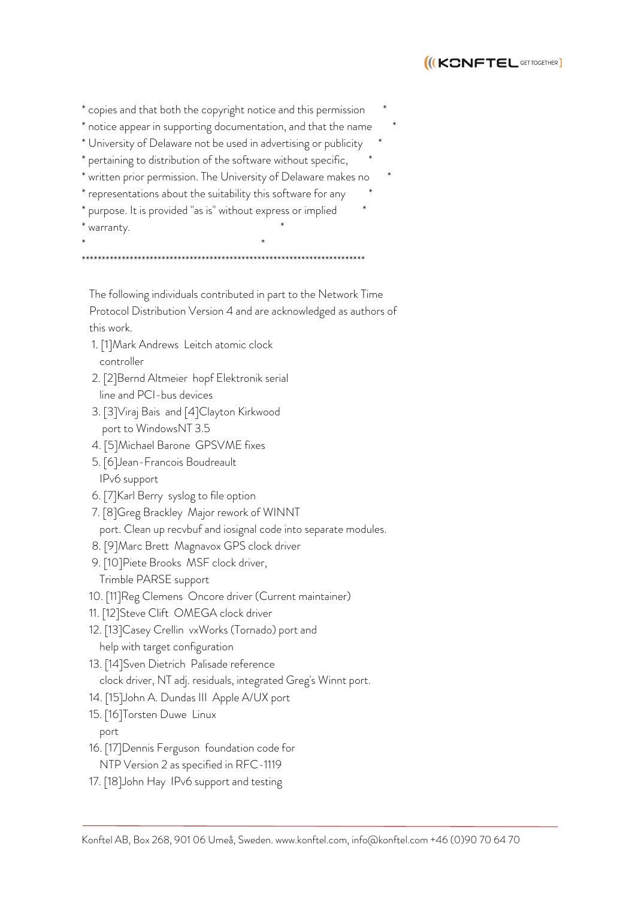

| * copies and that both the copyright notice and this permission         | $\ast$ |        |
|-------------------------------------------------------------------------|--------|--------|
| * notice appear in supporting documentation, and that the name          |        | $\ast$ |
| * University of Delaware not be used in advertising or publicity        |        |        |
| * pertaining to distribution of the software without specific,          |        |        |
| * written prior permission. The University of Delaware makes no         |        |        |
| * representations about the suitability this software for any           |        |        |
| * purpose. It is provided "as is" without express or implied<br>$^\ast$ |        |        |
| * warranty.                                                             |        |        |

\*\*\*\*\*\*\*\*\*\*\*\*\*\*\*\*\*\*\*\*\*\*\*\*\*\*\*\*\*\*\*\*\*\*\*\*\*\*\*\*\*\*\*\*\*\*\*\*\*\*\*\*\*\*\*\*\*\*\*\*\*\*\*\*\*\*\*\*\*\*\*

 The following individuals contributed in part to the Network Time Protocol Distribution Version 4 and are acknowledged as authors of this work.

 1. [1]Mark Andrews Leitch atomic clock controller

 $\star$ 

- 2. [2]Bernd Altmeier hopf Elektronik serial line and PCI-bus devices
- 3. [3]Viraj Bais and [4]Clayton Kirkwood port to WindowsNT 3.5
- 4. [5]Michael Barone GPSVME fixes
- 5. [6]Jean-Francois Boudreault IPv6 support
- 6. [7]Karl Berry syslog to file option
- 7. [8]Greg Brackley Major rework of WINNT
- port. Clean up recvbuf and iosignal code into separate modules.
- 8. [9]Marc Brett Magnavox GPS clock driver
- 9. [10]Piete Brooks MSF clock driver, Trimble PARSE support
- 10. [11]Reg Clemens Oncore driver (Current maintainer)
- 11. [12]Steve Clift OMEGA clock driver
- 12. [13]Casey Crellin vxWorks (Tornado) port and help with target configuration
- 13. [14]Sven Dietrich Palisade reference clock driver, NT adj. residuals, integrated Greg's Winnt port.
- 14. [15]John A. Dundas III Apple A/UX port
- 15. [16]Torsten Duwe Linux
	- port
- 16. [17]Dennis Ferguson foundation code for
- NTP Version 2 as specified in RFC-1119
- 17. [18]John Hay IPv6 support and testing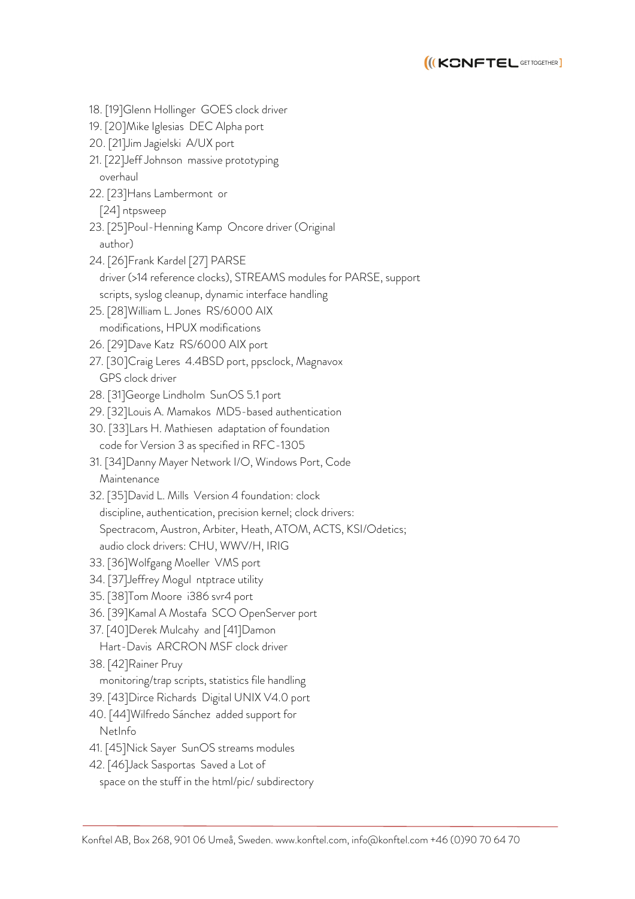

 18. [19]Glenn Hollinger GOES clock driver 19. [20]Mike Iglesias DEC Alpha port 20. [21]Jim Jagielski A/UX port 21. [22]Jeff Johnson massive prototyping overhaul 22. [23]Hans Lambermont or [24] ntpsweep 23. [25]Poul-Henning Kamp Oncore driver (Original author) 24. [26]Frank Kardel [27] PARSE driver (>14 reference clocks), STREAMS modules for PARSE, support scripts, syslog cleanup, dynamic interface handling 25. [28]William L. Jones RS/6000 AIX modifications, HPUX modifications 26. [29]Dave Katz RS/6000 AIX port 27. [30]Craig Leres 4.4BSD port, ppsclock, Magnavox GPS clock driver 28. [31]George Lindholm SunOS 5.1 port 29. [32]Louis A. Mamakos MD5-based authentication 30. [33]Lars H. Mathiesen adaptation of foundation code for Version 3 as specified in RFC-1305 31. [34]Danny Mayer Network I/O, Windows Port, Code Maintenance 32. [35]David L. Mills Version 4 foundation: clock discipline, authentication, precision kernel; clock drivers: Spectracom, Austron, Arbiter, Heath, ATOM, ACTS, KSI/Odetics; audio clock drivers: CHU, WWV/H, IRIG 33. [36]Wolfgang Moeller VMS port 34. [37]Jeffrey Mogul ntptrace utility 35. [38]Tom Moore i386 svr4 port 36. [39]Kamal A Mostafa SCO OpenServer port 37. [40]Derek Mulcahy and [41]Damon Hart-Davis ARCRON MSF clock driver 38. [42]Rainer Pruy monitoring/trap scripts, statistics file handling 39. [43]Dirce Richards Digital UNIX V4.0 port 40. [44]Wilfredo Sánchez added support for NetInfo 41. [45]Nick Sayer SunOS streams modules 42. [46]Jack Sasportas Saved a Lot of space on the stuff in the html/pic/ subdirectory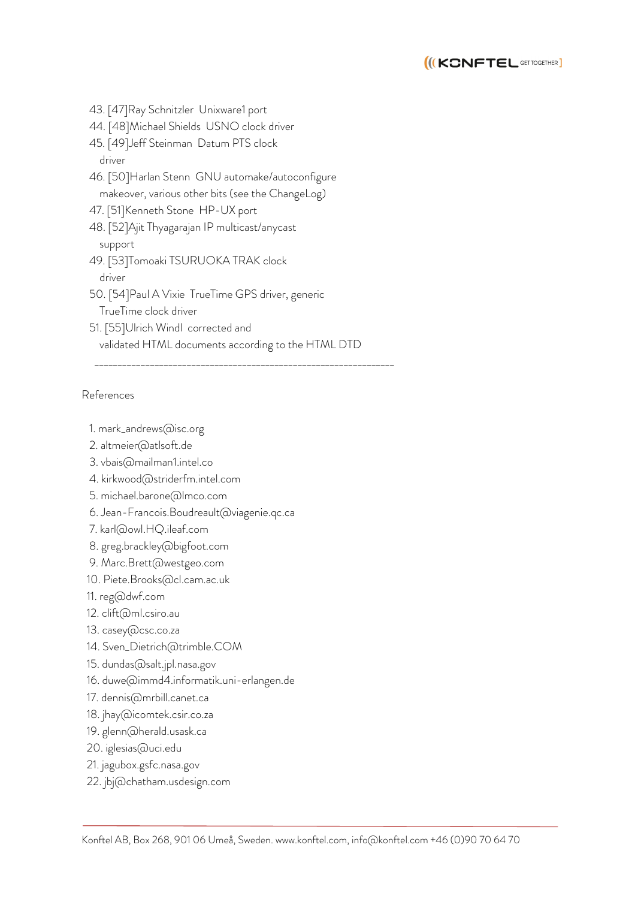

- 43. [47]Ray Schnitzler Unixware1 port
- 44. [48]Michael Shields USNO clock driver
- 45. [49]Jeff Steinman Datum PTS clock driver
- 46. [50]Harlan Stenn GNU automake/autoconfigure makeover, various other bits (see the ChangeLog)
- 47. [51]Kenneth Stone HP-UX port
- 48. [52]Ajit Thyagarajan IP multicast/anycast support
- 49. [53]Tomoaki TSURUOKA TRAK clock driver
- 50. [54]Paul A Vixie TrueTime GPS driver, generic TrueTime clock driver
- 51. [55]Ulrich Windl corrected and validated HTML documents according to the HTML DTD

\_\_\_\_\_\_\_\_\_\_\_\_\_\_\_\_\_\_\_\_\_\_\_\_\_\_\_\_\_\_\_\_\_\_\_\_\_\_\_\_\_\_\_\_\_\_\_\_\_\_\_\_\_\_\_\_\_\_\_\_\_\_\_\_\_

#### References

- 1. mark\_andrews@isc.org
- 2. altmeier@atlsoft.de
- 3. vbais@mailman1.intel.co
- 4. kirkwood@striderfm.intel.com
- 5. michael.barone@lmco.com
- 6. Jean-Francois.Boudreault@viagenie.qc.ca
- 7. karl@owl.HQ.ileaf.com
- 8. greg.brackley@bigfoot.com
- 9. Marc.Brett@westgeo.com
- 10. Piete.Brooks@cl.cam.ac.uk
- 11. reg@dwf.com
- 12. clift@ml.csiro.au
- 13. casey@csc.co.za
- 14. Sven\_Dietrich@trimble.COM
- 15. dundas@salt.jpl.nasa.gov
- 16. duwe@immd4.informatik.uni-erlangen.de
- 17. dennis@mrbill.canet.ca
- 18. jhay@icomtek.csir.co.za
- 19. glenn@herald.usask.ca
- 20. iglesias@uci.edu
- 21. jagubox.gsfc.nasa.gov
- 22. jbj@chatham.usdesign.com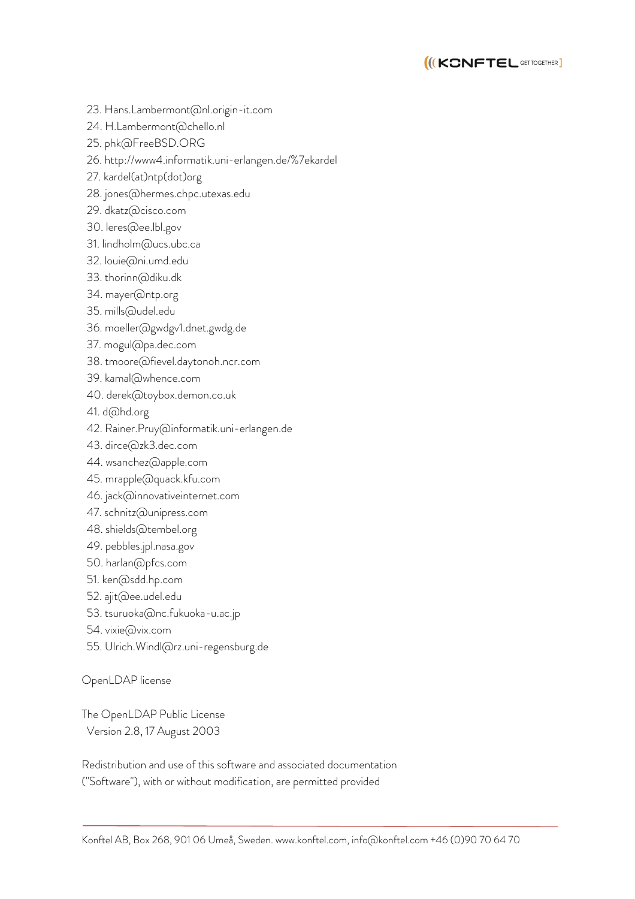

- 23. Hans.Lambermont@nl.origin-it.com
- 24. H.Lambermont@chello.nl
- 25. phk@FreeBSD.ORG
- 26. http://www4.informatik.uni-erlangen.de/%7ekardel
- 27. kardel(at)ntp(dot)org
- 28. jones@hermes.chpc.utexas.edu
- 29. dkatz@cisco.com
- 30. leres@ee.lbl.gov
- 31. lindholm@ucs.ubc.ca
- 32. louie@ni.umd.edu
- 33. thorinn@diku.dk
- 34. mayer@ntp.org
- 35. mills@udel.edu
- 36. moeller@gwdgv1.dnet.gwdg.de
- 37. mogul@pa.dec.com
- 38. tmoore@fievel.daytonoh.ncr.com
- 39. kamal@whence.com
- 40. derek@toybox.demon.co.uk
- 41. d@hd.org
- 42. Rainer.Pruy@informatik.uni-erlangen.de
- 43. dirce@zk3.dec.com
- 44. wsanchez@apple.com
- 45. mrapple@quack.kfu.com
- 46. jack@innovativeinternet.com
- 47. schnitz@unipress.com
- 48. shields@tembel.org
- 49. pebbles.jpl.nasa.gov
- 50. harlan@pfcs.com
- 51. ken@sdd.hp.com
- 52. ajit@ee.udel.edu
- 53. tsuruoka@nc.fukuoka-u.ac.jp
- 54. vixie@vix.com
- 55. Ulrich.Windl@rz.uni-regensburg.de

OpenLDAP license

The OpenLDAP Public License Version 2.8, 17 August 2003

Redistribution and use of this software and associated documentation ("Software"), with or without modification, are permitted provided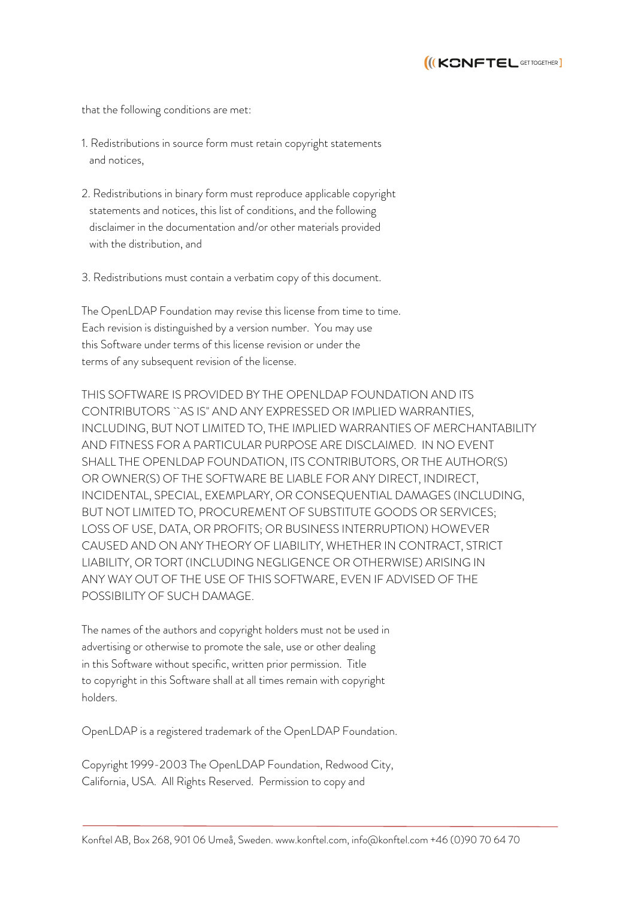

that the following conditions are met:

- 1. Redistributions in source form must retain copyright statements and notices,
- 2. Redistributions in binary form must reproduce applicable copyright statements and notices, this list of conditions, and the following disclaimer in the documentation and/or other materials provided with the distribution, and
- 3. Redistributions must contain a verbatim copy of this document.

The OpenLDAP Foundation may revise this license from time to time. Each revision is distinguished by a version number. You may use this Software under terms of this license revision or under the terms of any subsequent revision of the license.

THIS SOFTWARE IS PROVIDED BY THE OPENLDAP FOUNDATION AND ITS CONTRIBUTORS ``AS IS'' AND ANY EXPRESSED OR IMPLIED WARRANTIES, INCLUDING, BUT NOT LIMITED TO, THE IMPLIED WARRANTIES OF MERCHANTABILITY AND FITNESS FOR A PARTICULAR PURPOSE ARE DISCLAIMED. IN NO EVENT SHALL THE OPENLDAP FOUNDATION, ITS CONTRIBUTORS, OR THE AUTHOR(S) OR OWNER(S) OF THE SOFTWARE BE LIABLE FOR ANY DIRECT, INDIRECT, INCIDENTAL, SPECIAL, EXEMPLARY, OR CONSEQUENTIAL DAMAGES (INCLUDING, BUT NOT LIMITED TO, PROCUREMENT OF SUBSTITUTE GOODS OR SERVICES; LOSS OF USE, DATA, OR PROFITS; OR BUSINESS INTERRUPTION) HOWEVER CAUSED AND ON ANY THEORY OF LIABILITY, WHETHER IN CONTRACT, STRICT LIABILITY, OR TORT (INCLUDING NEGLIGENCE OR OTHERWISE) ARISING IN ANY WAY OUT OF THE USE OF THIS SOFTWARE, EVEN IF ADVISED OF THE POSSIBILITY OF SUCH DAMAGE.

The names of the authors and copyright holders must not be used in advertising or otherwise to promote the sale, use or other dealing in this Software without specific, written prior permission. Title to copyright in this Software shall at all times remain with copyright holders.

OpenLDAP is a registered trademark of the OpenLDAP Foundation.

Copyright 1999-2003 The OpenLDAP Foundation, Redwood City, California, USA. All Rights Reserved. Permission to copy and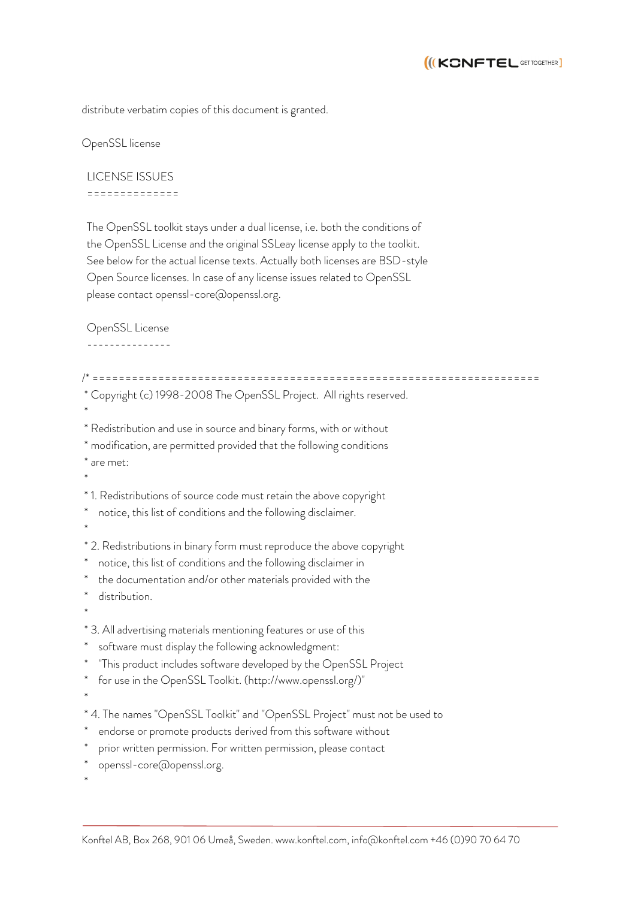

distribute verbatim copies of this document is granted.

OpenSSL license

 LICENSE ISSUES ==============

 The OpenSSL toolkit stays under a dual license, i.e. both the conditions of the OpenSSL License and the original SSLeay license apply to the toolkit. See below for the actual license texts. Actually both licenses are BSD-style Open Source licenses. In case of any license issues related to OpenSSL please contact openssl-core@openssl.org.

OpenSSL License

/\* ==================================================================== \* Copyright (c) 1998-2008 The OpenSSL Project. All rights reserved. \* \* Redistribution and use in source and binary forms, with or without \* modification, are permitted provided that the following conditions \* are met: \* \* 1. Redistributions of source code must retain the above copyright notice, this list of conditions and the following disclaimer. \* \* 2. Redistributions in binary form must reproduce the above copyright notice, this list of conditions and the following disclaimer in the documentation and/or other materials provided with the distribution. \* \* 3. All advertising materials mentioning features or use of this software must display the following acknowledgment: "This product includes software developed by the OpenSSL Project for use in the OpenSSL Toolkit. (http://www.openssl.org/)" \* \* 4. The names "OpenSSL Toolkit" and "OpenSSL Project" must not be used to endorse or promote products derived from this software without prior written permission. For written permission, please contact openssl-core@openssl.org. \*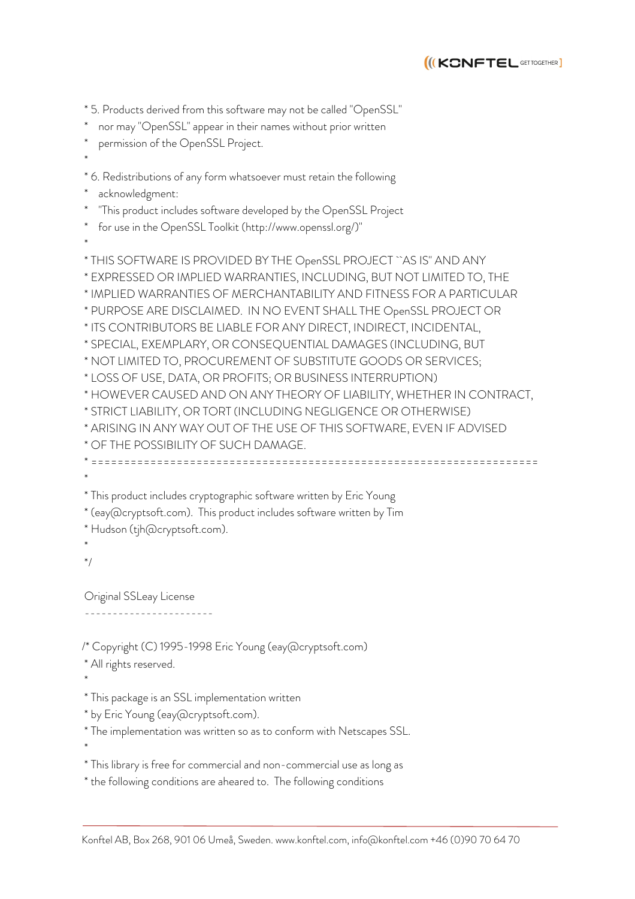

\* 5. Products derived from this software may not be called "OpenSSL"

- nor may "OpenSSL" appear in their names without prior written
- permission of the OpenSSL Project.
- \*

\* 6. Redistributions of any form whatsoever must retain the following

acknowledgment:

"This product includes software developed by the OpenSSL Project

- \* for use in the OpenSSL Toolkit (http://www.openssl.org/)"
- \*

\* THIS SOFTWARE IS PROVIDED BY THE OpenSSL PROJECT ``AS IS'' AND ANY \* EXPRESSED OR IMPLIED WARRANTIES, INCLUDING, BUT NOT LIMITED TO, THE \* IMPLIED WARRANTIES OF MERCHANTABILITY AND FITNESS FOR A PARTICULAR \* PURPOSE ARE DISCLAIMED. IN NO EVENT SHALL THE OpenSSL PROJECT OR \* ITS CONTRIBUTORS BE LIABLE FOR ANY DIRECT, INDIRECT, INCIDENTAL, \* SPECIAL, EXEMPLARY, OR CONSEQUENTIAL DAMAGES (INCLUDING, BUT \* NOT LIMITED TO, PROCUREMENT OF SUBSTITUTE GOODS OR SERVICES; \* LOSS OF USE, DATA, OR PROFITS; OR BUSINESS INTERRUPTION) \* HOWEVER CAUSED AND ON ANY THEORY OF LIABILITY, WHETHER IN CONTRACT, \* STRICT LIABILITY, OR TORT (INCLUDING NEGLIGENCE OR OTHERWISE) \* ARISING IN ANY WAY OUT OF THE USE OF THIS SOFTWARE, EVEN IF ADVISED \* OF THE POSSIBILITY OF SUCH DAMAGE. \* ==================================================================== \* \* This product includes cryptographic software written by Eric Young \* (eay@cryptsoft.com). This product includes software written by Tim \* Hudson (tjh@cryptsoft.com). \* \*/ Original SSLeay License -----------------------

/\* Copyright (C) 1995-1998 Eric Young (eay@cryptsoft.com)

- \* All rights reserved.
- \*

\*

- \* This package is an SSL implementation written
- \* by Eric Young (eay@cryptsoft.com).

\* The implementation was written so as to conform with Netscapes SSL.

- \* This library is free for commercial and non-commercial use as long as
- \* the following conditions are aheared to. The following conditions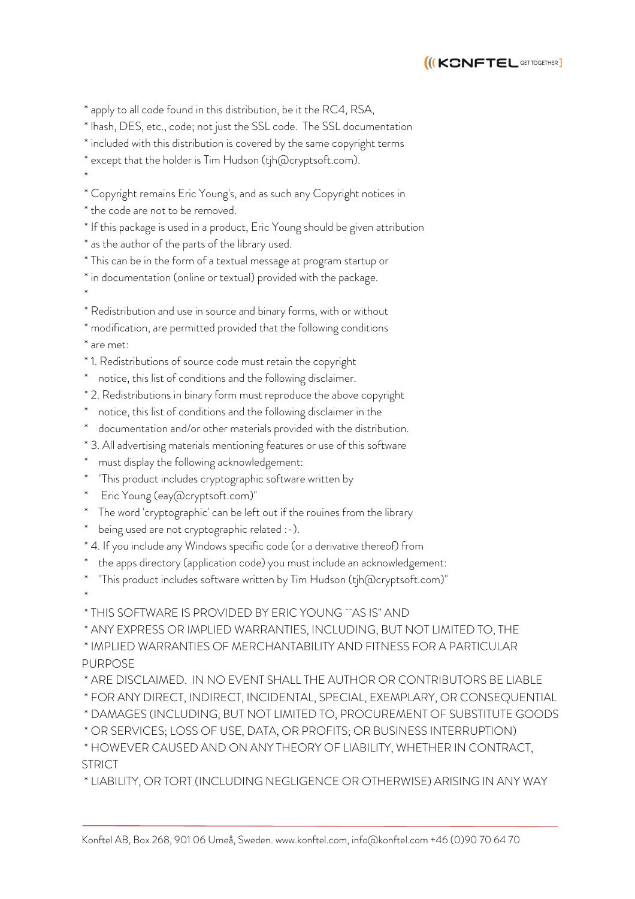

\* apply to all code found in this distribution, be it the RC4, RSA,

\* lhash, DES, etc., code; not just the SSL code. The SSL documentation

\* included with this distribution is covered by the same copyright terms

\* except that the holder is Tim Hudson (tjh@cryptsoft.com).

\*

\* Copyright remains Eric Young's, and as such any Copyright notices in

\* the code are not to be removed.

\* If this package is used in a product, Eric Young should be given attribution

\* as the author of the parts of the library used.

\* This can be in the form of a textual message at program startup or

\* in documentation (online or textual) provided with the package. \*

\* Redistribution and use in source and binary forms, with or without

\* modification, are permitted provided that the following conditions

\* are met:

\*

\* 1. Redistributions of source code must retain the copyright

notice, this list of conditions and the following disclaimer.

\* 2. Redistributions in binary form must reproduce the above copyright

notice, this list of conditions and the following disclaimer in the

documentation and/or other materials provided with the distribution.

\* 3. All advertising materials mentioning features or use of this software

must display the following acknowledgement:

"This product includes cryptographic software written by

\* Eric Young (eay@cryptsoft.com)"

The word 'cryptographic' can be left out if the rouines from the library

being used are not cryptographic related :-).

\* 4. If you include any Windows specific code (or a derivative thereof) from

the apps directory (application code) you must include an acknowledgement:

"This product includes software written by Tim Hudson (tjh@cryptsoft.com)"

\* THIS SOFTWARE IS PROVIDED BY ERIC YOUNG ``AS IS'' AND

\* ANY EXPRESS OR IMPLIED WARRANTIES, INCLUDING, BUT NOT LIMITED TO, THE

\* IMPLIED WARRANTIES OF MERCHANTABILITY AND FITNESS FOR A PARTICULAR PURPOSE

\* ARE DISCLAIMED. IN NO EVENT SHALL THE AUTHOR OR CONTRIBUTORS BE LIABLE

\* FOR ANY DIRECT, INDIRECT, INCIDENTAL, SPECIAL, EXEMPLARY, OR CONSEQUENTIAL

\* DAMAGES (INCLUDING, BUT NOT LIMITED TO, PROCUREMENT OF SUBSTITUTE GOODS

\* OR SERVICES; LOSS OF USE, DATA, OR PROFITS; OR BUSINESS INTERRUPTION)

\* HOWEVER CAUSED AND ON ANY THEORY OF LIABILITY, WHETHER IN CONTRACT, **STRICT** 

\* LIABILITY, OR TORT (INCLUDING NEGLIGENCE OR OTHERWISE) ARISING IN ANY WAY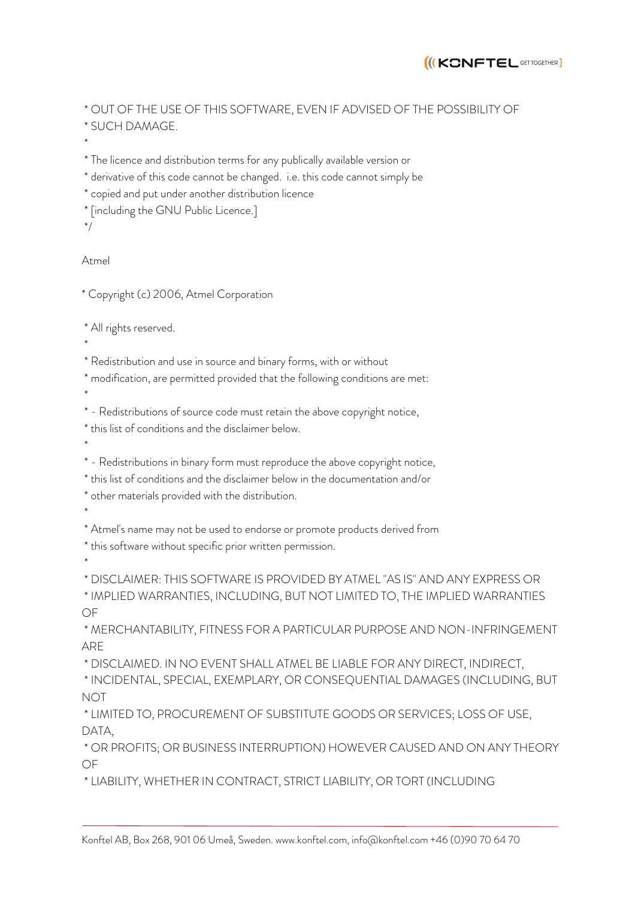

\* OUT OF THE USE OF THIS SOFTWARE, EVEN IF ADVISED OF THE POSSIBILITY OF \* SUCH DAMAGE.

\*

\* The licence and distribution terms for any publically available version or

\* derivative of this code cannot be changed. i.e. this code cannot simply be

- \* copied and put under another distribution licence
- \* [including the GNU Public Licence.]
- \*/

Atmel

\* Copyright (c) 2006, Atmel Corporation

\* All rights reserved.

\*

\* Redistribution and use in source and binary forms, with or without

\* modification, are permitted provided that the following conditions are met:

\*

\* - Redistributions of source code must retain the above copyright notice,

\* this list of conditions and the disclaimer below.

\*

\* - Redistributions in binary form must reproduce the above copyright notice,

\* this list of conditions and the disclaimer below in the documentation and/or

\* other materials provided with the distribution.

\*

\* Atmel's name may not be used to endorse or promote products derived from

\* this software without specific prior written permission.

\*

\* DISCLAIMER: THIS SOFTWARE IS PROVIDED BY ATMEL "AS IS" AND ANY EXPRESS OR

\* IMPLIED WARRANTIES, INCLUDING, BUT NOT LIMITED TO, THE IMPLIED WARRANTIES OF

\* MERCHANTABILITY, FITNESS FOR A PARTICULAR PURPOSE AND NON-INFRINGEMENT ARE

\* DISCLAIMED. IN NO EVENT SHALL ATMEL BE LIABLE FOR ANY DIRECT, INDIRECT,

\* INCIDENTAL, SPECIAL, EXEMPLARY, OR CONSEQUENTIAL DAMAGES (INCLUDING, BUT NOT

\* LIMITED TO, PROCUREMENT OF SUBSTITUTE GOODS OR SERVICES; LOSS OF USE, DATA,

\* OR PROFITS; OR BUSINESS INTERRUPTION) HOWEVER CAUSED AND ON ANY THEORY OF

\* LIABILITY, WHETHER IN CONTRACT, STRICT LIABILITY, OR TORT (INCLUDING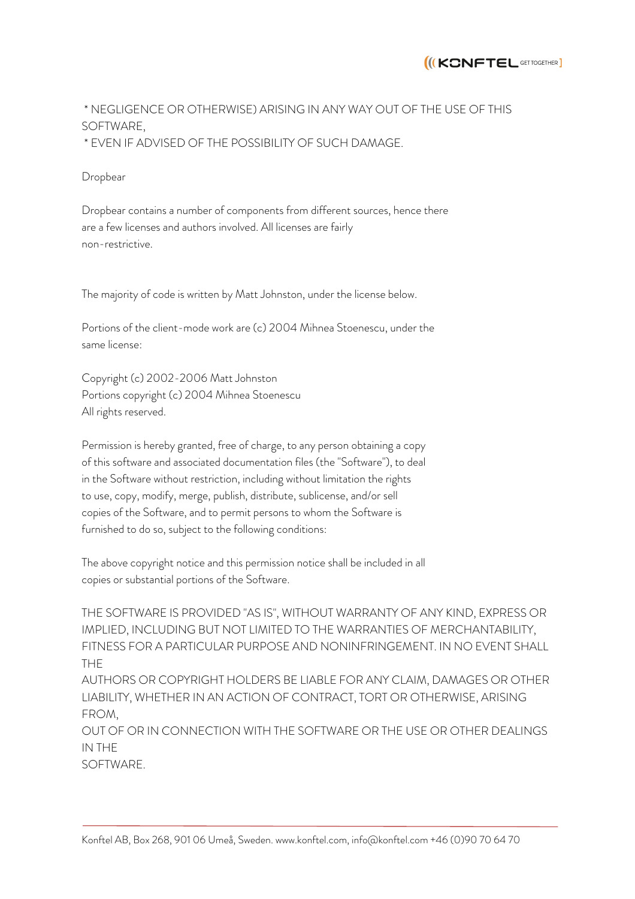

# \* NEGLIGENCE OR OTHERWISE) ARISING IN ANY WAY OUT OF THE USE OF THIS SOFTWARE, \* EVEN IF ADVISED OF THE POSSIBILITY OF SUCH DAMAGE.

Dropbear

Dropbear contains a number of components from different sources, hence there are a few licenses and authors involved. All licenses are fairly non-restrictive.

The majority of code is written by Matt Johnston, under the license below.

Portions of the client-mode work are (c) 2004 Mihnea Stoenescu, under the same license:

Copyright (c) 2002-2006 Matt Johnston Portions copyright (c) 2004 Mihnea Stoenescu All rights reserved.

Permission is hereby granted, free of charge, to any person obtaining a copy of this software and associated documentation files (the "Software"), to deal in the Software without restriction, including without limitation the rights to use, copy, modify, merge, publish, distribute, sublicense, and/or sell copies of the Software, and to permit persons to whom the Software is furnished to do so, subject to the following conditions:

The above copyright notice and this permission notice shall be included in all copies or substantial portions of the Software.

THE SOFTWARE IS PROVIDED "AS IS", WITHOUT WARRANTY OF ANY KIND, EXPRESS OR IMPLIED, INCLUDING BUT NOT LIMITED TO THE WARRANTIES OF MERCHANTABILITY, FITNESS FOR A PARTICULAR PURPOSE AND NONINFRINGEMENT. IN NO EVENT SHALL THE

AUTHORS OR COPYRIGHT HOLDERS BE LIABLE FOR ANY CLAIM, DAMAGES OR OTHER LIABILITY, WHETHER IN AN ACTION OF CONTRACT, TORT OR OTHERWISE, ARISING FROM,

OUT OF OR IN CONNECTION WITH THE SOFTWARE OR THE USE OR OTHER DEALINGS IN THE

SOFTWARE.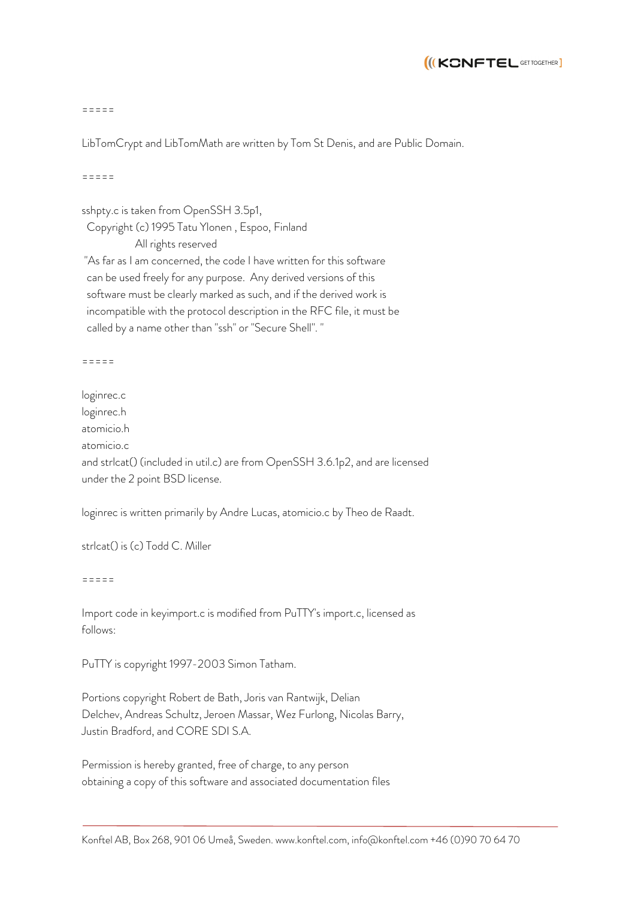

 $=$   $=$   $=$   $=$ 

LibTomCrypt and LibTomMath are written by Tom St Denis, and are Public Domain.

=====

sshpty.c is taken from OpenSSH 3.5p1,

Copyright (c) 1995 Tatu Ylonen , Espoo, Finland

 All rights reserved "As far as I am concerned, the code I have written for this software can be used freely for any purpose. Any derived versions of this software must be clearly marked as such, and if the derived work is incompatible with the protocol description in the RFC file, it must be called by a name other than "ssh" or "Secure Shell". "

 $-$ 

loginrec.c loginrec.h atomicio.h atomicio.c and strlcat() (included in util.c) are from OpenSSH 3.6.1p2, and are licensed under the 2 point BSD license.

loginrec is written primarily by Andre Lucas, atomicio.c by Theo de Raadt.

strlcat() is (c) Todd C. Miller

=====

Import code in keyimport.c is modified from PuTTY's import.c, licensed as follows:

PuTTY is copyright 1997-2003 Simon Tatham.

Portions copyright Robert de Bath, Joris van Rantwijk, Delian Delchev, Andreas Schultz, Jeroen Massar, Wez Furlong, Nicolas Barry, Justin Bradford, and CORE SDI S.A.

Permission is hereby granted, free of charge, to any person obtaining a copy of this software and associated documentation files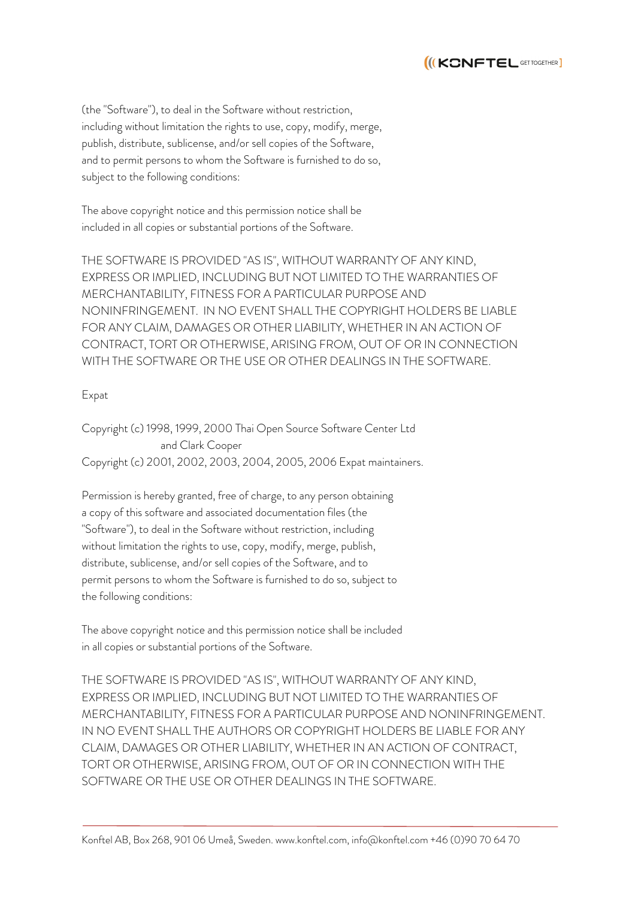

(the "Software"), to deal in the Software without restriction, including without limitation the rights to use, copy, modify, merge, publish, distribute, sublicense, and/or sell copies of the Software, and to permit persons to whom the Software is furnished to do so, subject to the following conditions:

The above copyright notice and this permission notice shall be included in all copies or substantial portions of the Software.

THE SOFTWARE IS PROVIDED "AS IS", WITHOUT WARRANTY OF ANY KIND, EXPRESS OR IMPLIED, INCLUDING BUT NOT LIMITED TO THE WARRANTIES OF MERCHANTABILITY, FITNESS FOR A PARTICULAR PURPOSE AND NONINFRINGEMENT. IN NO EVENT SHALL THE COPYRIGHT HOLDERS BE LIABLE FOR ANY CLAIM, DAMAGES OR OTHER LIABILITY, WHETHER IN AN ACTION OF CONTRACT, TORT OR OTHERWISE, ARISING FROM, OUT OF OR IN CONNECTION WITH THE SOFTWARE OR THE USE OR OTHER DEALINGS IN THE SOFTWARE.

## Expat

Copyright (c) 1998, 1999, 2000 Thai Open Source Software Center Ltd and Clark Cooper Copyright (c) 2001, 2002, 2003, 2004, 2005, 2006 Expat maintainers.

Permission is hereby granted, free of charge, to any person obtaining a copy of this software and associated documentation files (the "Software"), to deal in the Software without restriction, including without limitation the rights to use, copy, modify, merge, publish, distribute, sublicense, and/or sell copies of the Software, and to permit persons to whom the Software is furnished to do so, subject to the following conditions:

The above copyright notice and this permission notice shall be included in all copies or substantial portions of the Software.

THE SOFTWARE IS PROVIDED "AS IS", WITHOUT WARRANTY OF ANY KIND, EXPRESS OR IMPLIED, INCLUDING BUT NOT LIMITED TO THE WARRANTIES OF MERCHANTABILITY, FITNESS FOR A PARTICULAR PURPOSE AND NONINFRINGEMENT. IN NO EVENT SHALL THE AUTHORS OR COPYRIGHT HOLDERS BE LIABLE FOR ANY CLAIM, DAMAGES OR OTHER LIABILITY, WHETHER IN AN ACTION OF CONTRACT, TORT OR OTHERWISE, ARISING FROM, OUT OF OR IN CONNECTION WITH THE SOFTWARE OR THE USE OR OTHER DEALINGS IN THE SOFTWARE.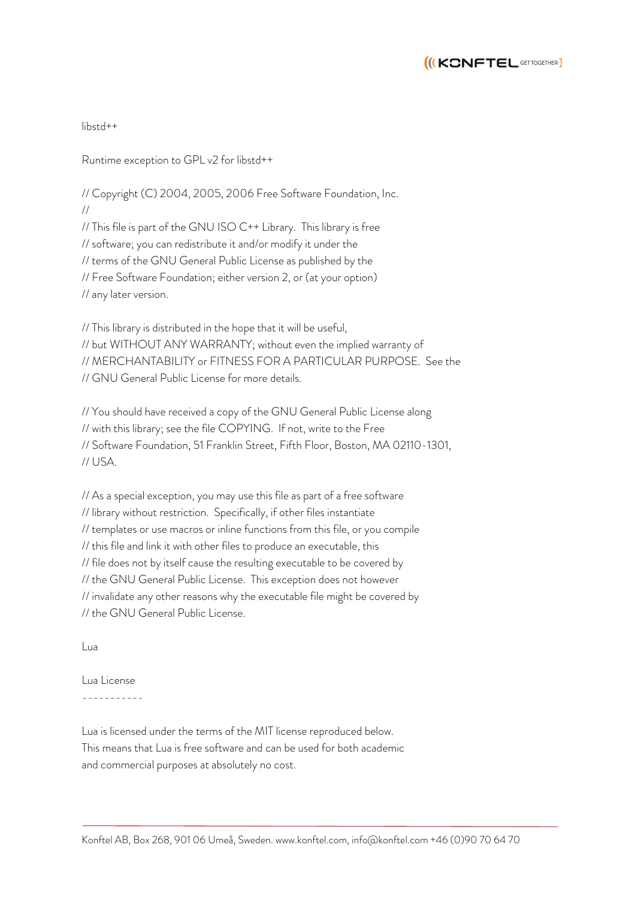

libstd++

Runtime exception to GPL v2 for libstd++

// Copyright (C) 2004, 2005, 2006 Free Software Foundation, Inc. //

// This file is part of the GNU ISO C++ Library. This library is free // software; you can redistribute it and/or modify it under the // terms of the GNU General Public License as published by the // Free Software Foundation; either version 2, or (at your option) // any later version.

// This library is distributed in the hope that it will be useful, // but WITHOUT ANY WARRANTY; without even the implied warranty of // MERCHANTABILITY or FITNESS FOR A PARTICULAR PURPOSE. See the // GNU General Public License for more details.

// You should have received a copy of the GNU General Public License along // with this library; see the file COPYING. If not, write to the Free // Software Foundation, 51 Franklin Street, Fifth Floor, Boston, MA 02110-1301, // USA.

// As a special exception, you may use this file as part of a free software // library without restriction. Specifically, if other files instantiate // templates or use macros or inline functions from this file, or you compile // this file and link it with other files to produce an executable, this // file does not by itself cause the resulting executable to be covered by // the GNU General Public License. This exception does not however // invalidate any other reasons why the executable file might be covered by // the GNU General Public License.

Lua

Lua License -----------

Lua is licensed under the terms of the MIT license reproduced below. This means that Lua is free software and can be used for both academic and commercial purposes at absolutely no cost.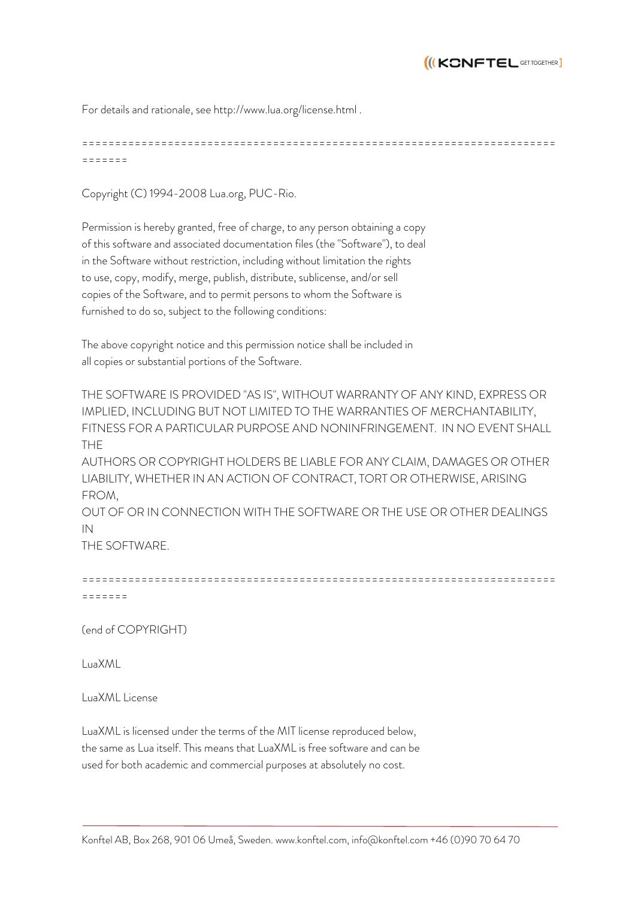

For details and rationale, see http://www.lua.org/license.html .

======================================================================== =======

Copyright (C) 1994-2008 Lua.org, PUC-Rio.

Permission is hereby granted, free of charge, to any person obtaining a copy of this software and associated documentation files (the "Software"), to deal in the Software without restriction, including without limitation the rights to use, copy, modify, merge, publish, distribute, sublicense, and/or sell copies of the Software, and to permit persons to whom the Software is furnished to do so, subject to the following conditions:

The above copyright notice and this permission notice shall be included in all copies or substantial portions of the Software.

THE SOFTWARE IS PROVIDED "AS IS", WITHOUT WARRANTY OF ANY KIND, EXPRESS OR IMPLIED, INCLUDING BUT NOT LIMITED TO THE WARRANTIES OF MERCHANTABILITY, FITNESS FOR A PARTICULAR PURPOSE AND NONINFRINGEMENT. IN NO EVENT SHALL THE

AUTHORS OR COPYRIGHT HOLDERS BE LIABLE FOR ANY CLAIM, DAMAGES OR OTHER LIABILITY, WHETHER IN AN ACTION OF CONTRACT, TORT OR OTHERWISE, ARISING FROM,

OUT OF OR IN CONNECTION WITH THE SOFTWARE OR THE USE OR OTHER DEALINGS IN

THE SOFTWARE.

```
========================================================================
=======
```
(end of COPYRIGHT)

LuaXML

LuaXML License

LuaXML is licensed under the terms of the MIT license reproduced below, the same as Lua itself. This means that LuaXML is free software and can be used for both academic and commercial purposes at absolutely no cost.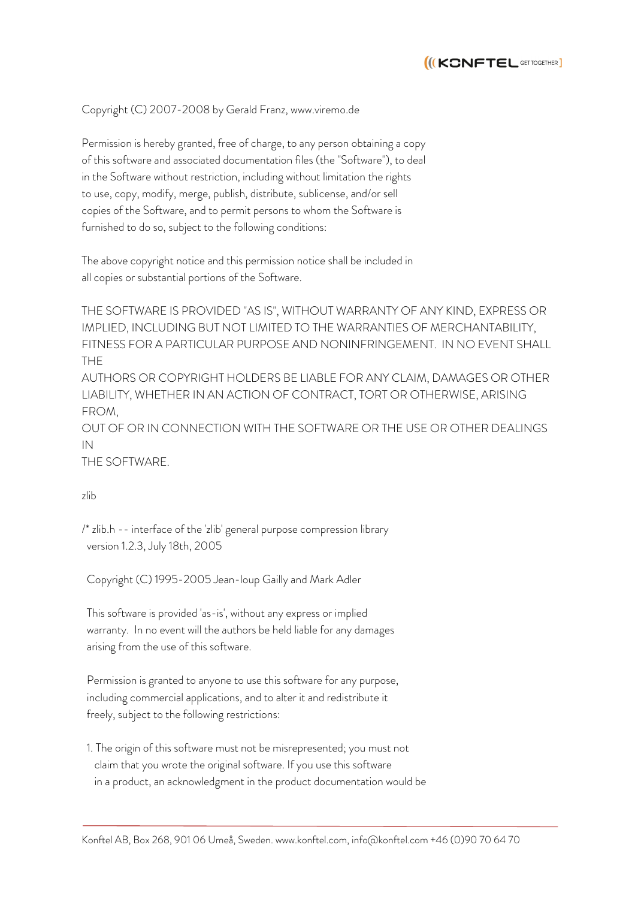

### Copyright (C) 2007-2008 by Gerald Franz, www.viremo.de

Permission is hereby granted, free of charge, to any person obtaining a copy of this software and associated documentation files (the "Software"), to deal in the Software without restriction, including without limitation the rights to use, copy, modify, merge, publish, distribute, sublicense, and/or sell copies of the Software, and to permit persons to whom the Software is furnished to do so, subject to the following conditions:

The above copyright notice and this permission notice shall be included in all copies or substantial portions of the Software.

THE SOFTWARE IS PROVIDED "AS IS", WITHOUT WARRANTY OF ANY KIND, EXPRESS OR IMPLIED, INCLUDING BUT NOT LIMITED TO THE WARRANTIES OF MERCHANTABILITY, FITNESS FOR A PARTICULAR PURPOSE AND NONINFRINGEMENT. IN NO EVENT SHALL THE

AUTHORS OR COPYRIGHT HOLDERS BE LIABLE FOR ANY CLAIM, DAMAGES OR OTHER LIABILITY, WHETHER IN AN ACTION OF CONTRACT, TORT OR OTHERWISE, ARISING FROM,

OUT OF OR IN CONNECTION WITH THE SOFTWARE OR THE USE OR OTHER DEALINGS IN

THE SOFTWARE.

### zlib

/\* zlib.h -- interface of the 'zlib' general purpose compression library version 1.2.3, July 18th, 2005

Copyright (C) 1995-2005 Jean-loup Gailly and Mark Adler

 This software is provided 'as-is', without any express or implied warranty. In no event will the authors be held liable for any damages arising from the use of this software.

 Permission is granted to anyone to use this software for any purpose, including commercial applications, and to alter it and redistribute it freely, subject to the following restrictions:

 1. The origin of this software must not be misrepresented; you must not claim that you wrote the original software. If you use this software in a product, an acknowledgment in the product documentation would be